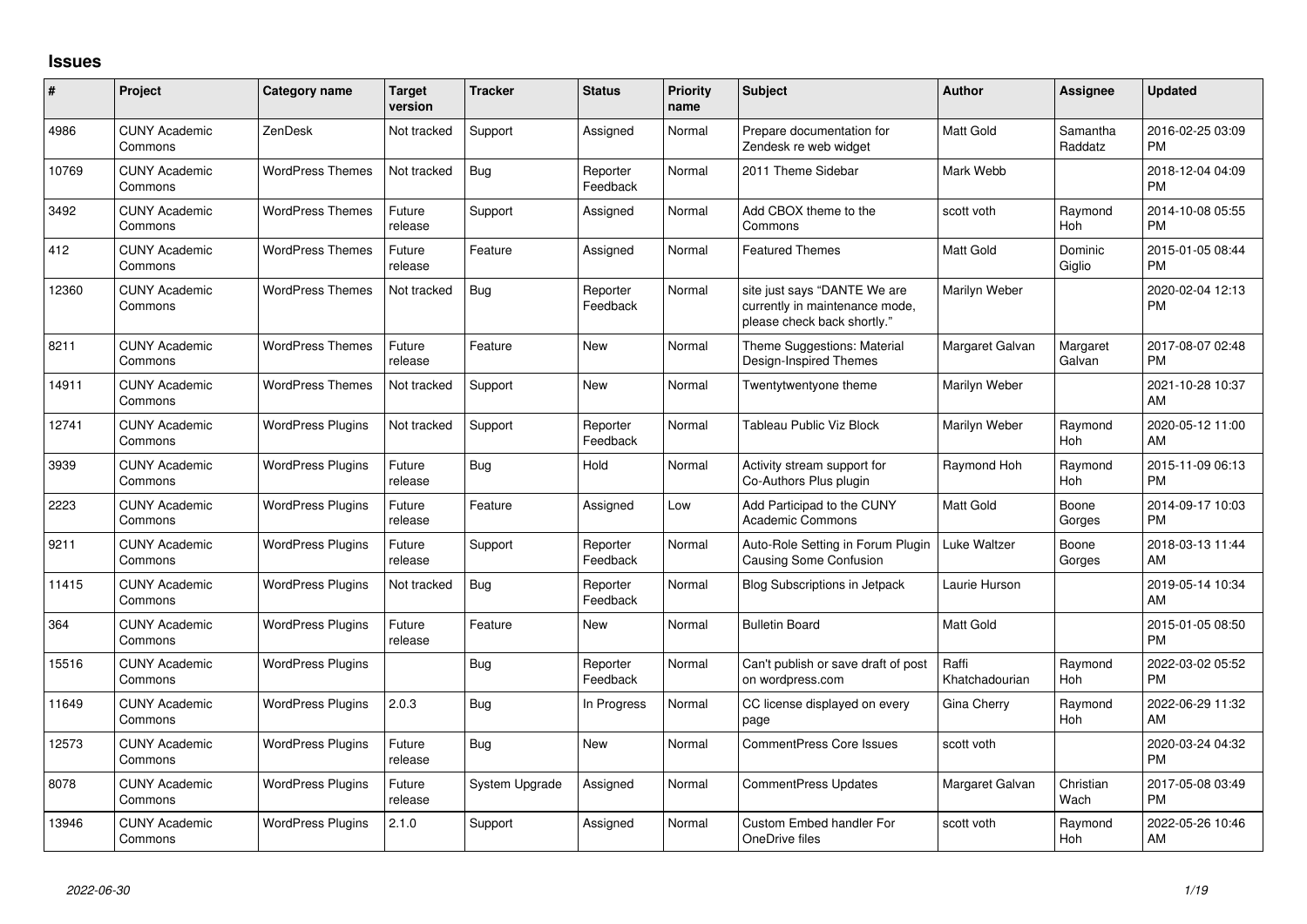## **Issues**

| #     | Project                         | <b>Category name</b>     | <b>Target</b><br>version | <b>Tracker</b> | <b>Status</b>        | Priority<br>name | <b>Subject</b>                                                                                | <b>Author</b>           | <b>Assignee</b>     | <b>Updated</b>                |
|-------|---------------------------------|--------------------------|--------------------------|----------------|----------------------|------------------|-----------------------------------------------------------------------------------------------|-------------------------|---------------------|-------------------------------|
| 4986  | <b>CUNY Academic</b><br>Commons | ZenDesk                  | Not tracked              | Support        | Assigned             | Normal           | Prepare documentation for<br>Zendesk re web widget                                            | Matt Gold               | Samantha<br>Raddatz | 2016-02-25 03:09<br><b>PM</b> |
| 10769 | <b>CUNY Academic</b><br>Commons | <b>WordPress Themes</b>  | Not tracked              | Bug            | Reporter<br>Feedback | Normal           | 2011 Theme Sidebar                                                                            | Mark Webb               |                     | 2018-12-04 04:09<br><b>PM</b> |
| 3492  | <b>CUNY Academic</b><br>Commons | <b>WordPress Themes</b>  | Future<br>release        | Support        | Assigned             | Normal           | Add CBOX theme to the<br>Commons                                                              | scott voth              | Raymond<br>Hoh      | 2014-10-08 05:55<br><b>PM</b> |
| 412   | <b>CUNY Academic</b><br>Commons | <b>WordPress Themes</b>  | Future<br>release        | Feature        | Assigned             | Normal           | <b>Featured Themes</b>                                                                        | <b>Matt Gold</b>        | Dominic<br>Giglio   | 2015-01-05 08:44<br><b>PM</b> |
| 12360 | <b>CUNY Academic</b><br>Commons | <b>WordPress Themes</b>  | Not tracked              | Bug            | Reporter<br>Feedback | Normal           | site just says "DANTE We are<br>currently in maintenance mode,<br>please check back shortly." | Marilyn Weber           |                     | 2020-02-04 12:13<br><b>PM</b> |
| 8211  | <b>CUNY Academic</b><br>Commons | <b>WordPress Themes</b>  | Future<br>release        | Feature        | New                  | Normal           | Theme Suggestions: Material<br>Design-Inspired Themes                                         | Margaret Galvan         | Margaret<br>Galvan  | 2017-08-07 02:48<br><b>PM</b> |
| 14911 | <b>CUNY Academic</b><br>Commons | <b>WordPress Themes</b>  | Not tracked              | Support        | <b>New</b>           | Normal           | Twentytwentyone theme                                                                         | Marilyn Weber           |                     | 2021-10-28 10:37<br>AM        |
| 12741 | <b>CUNY Academic</b><br>Commons | <b>WordPress Plugins</b> | Not tracked              | Support        | Reporter<br>Feedback | Normal           | Tableau Public Viz Block                                                                      | Marilyn Weber           | Raymond<br>Hoh      | 2020-05-12 11:00<br>AM        |
| 3939  | <b>CUNY Academic</b><br>Commons | <b>WordPress Plugins</b> | Future<br>release        | Bug            | Hold                 | Normal           | Activity stream support for<br>Co-Authors Plus plugin                                         | Raymond Hoh             | Raymond<br>Hoh      | 2015-11-09 06:13<br><b>PM</b> |
| 2223  | <b>CUNY Academic</b><br>Commons | <b>WordPress Plugins</b> | Future<br>release        | Feature        | Assigned             | Low              | Add Participad to the CUNY<br><b>Academic Commons</b>                                         | <b>Matt Gold</b>        | Boone<br>Gorges     | 2014-09-17 10:03<br><b>PM</b> |
| 9211  | <b>CUNY Academic</b><br>Commons | <b>WordPress Plugins</b> | Future<br>release        | Support        | Reporter<br>Feedback | Normal           | Auto-Role Setting in Forum Plugin<br>Causing Some Confusion                                   | Luke Waltzer            | Boone<br>Gorges     | 2018-03-13 11:44<br>AM        |
| 11415 | <b>CUNY Academic</b><br>Commons | <b>WordPress Plugins</b> | Not tracked              | Bug            | Reporter<br>Feedback | Normal           | <b>Blog Subscriptions in Jetpack</b>                                                          | Laurie Hurson           |                     | 2019-05-14 10:34<br>AM        |
| 364   | <b>CUNY Academic</b><br>Commons | <b>WordPress Plugins</b> | Future<br>release        | Feature        | New                  | Normal           | <b>Bulletin Board</b>                                                                         | <b>Matt Gold</b>        |                     | 2015-01-05 08:50<br><b>PM</b> |
| 15516 | <b>CUNY Academic</b><br>Commons | <b>WordPress Plugins</b> |                          | Bug            | Reporter<br>Feedback | Normal           | Can't publish or save draft of post<br>on wordpress.com                                       | Raffi<br>Khatchadourian | Raymond<br>Hoh      | 2022-03-02 05:52<br><b>PM</b> |
| 11649 | <b>CUNY Academic</b><br>Commons | <b>WordPress Plugins</b> | 2.0.3                    | Bug            | In Progress          | Normal           | CC license displayed on every<br>page                                                         | Gina Cherry             | Raymond<br>Hoh      | 2022-06-29 11:32<br>AM        |
| 12573 | <b>CUNY Academic</b><br>Commons | <b>WordPress Plugins</b> | Future<br>release        | Bug            | <b>New</b>           | Normal           | <b>CommentPress Core Issues</b>                                                               | scott voth              |                     | 2020-03-24 04:32<br><b>PM</b> |
| 8078  | <b>CUNY Academic</b><br>Commons | <b>WordPress Plugins</b> | Future<br>release        | System Upgrade | Assigned             | Normal           | <b>CommentPress Updates</b>                                                                   | Margaret Galvan         | Christian<br>Wach   | 2017-05-08 03:49<br><b>PM</b> |
| 13946 | <b>CUNY Academic</b><br>Commons | <b>WordPress Plugins</b> | 2.1.0                    | Support        | Assigned             | Normal           | Custom Embed handler For<br>OneDrive files                                                    | scott voth              | Raymond<br>Hoh      | 2022-05-26 10:46<br>AM        |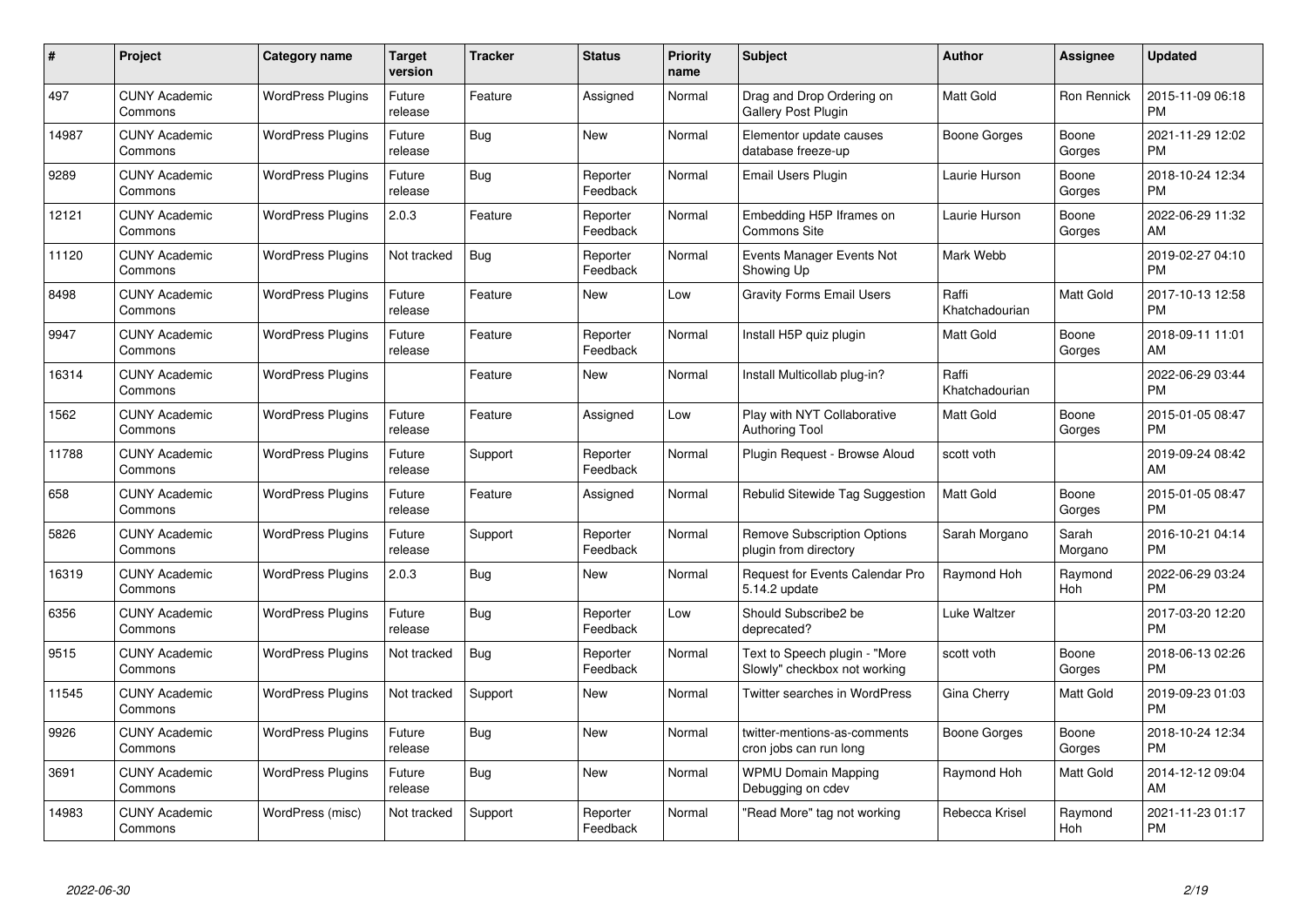| #     | Project                         | <b>Category name</b>     | <b>Target</b><br>version | <b>Tracker</b> | <b>Status</b>        | <b>Priority</b><br>name | <b>Subject</b>                                                | <b>Author</b>           | Assignee         | <b>Updated</b>                |
|-------|---------------------------------|--------------------------|--------------------------|----------------|----------------------|-------------------------|---------------------------------------------------------------|-------------------------|------------------|-------------------------------|
| 497   | <b>CUNY Academic</b><br>Commons | <b>WordPress Plugins</b> | Future<br>release        | Feature        | Assigned             | Normal                  | Drag and Drop Ordering on<br>Gallery Post Plugin              | <b>Matt Gold</b>        | Ron Rennick      | 2015-11-09 06:18<br><b>PM</b> |
| 14987 | <b>CUNY Academic</b><br>Commons | <b>WordPress Plugins</b> | Future<br>release        | Bug            | New                  | Normal                  | Elementor update causes<br>database freeze-up                 | Boone Gorges            | Boone<br>Gorges  | 2021-11-29 12:02<br><b>PM</b> |
| 9289  | <b>CUNY Academic</b><br>Commons | <b>WordPress Plugins</b> | Future<br>release        | Bug            | Reporter<br>Feedback | Normal                  | Email Users Plugin                                            | Laurie Hurson           | Boone<br>Gorges  | 2018-10-24 12:34<br><b>PM</b> |
| 12121 | <b>CUNY Academic</b><br>Commons | <b>WordPress Plugins</b> | 2.0.3                    | Feature        | Reporter<br>Feedback | Normal                  | Embedding H5P Iframes on<br><b>Commons Site</b>               | Laurie Hurson           | Boone<br>Gorges  | 2022-06-29 11:32<br>AM        |
| 11120 | <b>CUNY Academic</b><br>Commons | <b>WordPress Plugins</b> | Not tracked              | <b>Bug</b>     | Reporter<br>Feedback | Normal                  | Events Manager Events Not<br>Showing Up                       | Mark Webb               |                  | 2019-02-27 04:10<br><b>PM</b> |
| 8498  | <b>CUNY Academic</b><br>Commons | <b>WordPress Plugins</b> | Future<br>release        | Feature        | <b>New</b>           | Low                     | <b>Gravity Forms Email Users</b>                              | Raffi<br>Khatchadourian | Matt Gold        | 2017-10-13 12:58<br><b>PM</b> |
| 9947  | <b>CUNY Academic</b><br>Commons | <b>WordPress Plugins</b> | Future<br>release        | Feature        | Reporter<br>Feedback | Normal                  | Install H5P quiz plugin                                       | Matt Gold               | Boone<br>Gorges  | 2018-09-11 11:01<br>AM        |
| 16314 | <b>CUNY Academic</b><br>Commons | <b>WordPress Plugins</b> |                          | Feature        | <b>New</b>           | Normal                  | Install Multicollab plug-in?                                  | Raffi<br>Khatchadourian |                  | 2022-06-29 03:44<br><b>PM</b> |
| 1562  | <b>CUNY Academic</b><br>Commons | <b>WordPress Plugins</b> | Future<br>release        | Feature        | Assigned             | Low                     | Play with NYT Collaborative<br><b>Authoring Tool</b>          | <b>Matt Gold</b>        | Boone<br>Gorges  | 2015-01-05 08:47<br><b>PM</b> |
| 11788 | <b>CUNY Academic</b><br>Commons | <b>WordPress Plugins</b> | Future<br>release        | Support        | Reporter<br>Feedback | Normal                  | Plugin Request - Browse Aloud                                 | scott voth              |                  | 2019-09-24 08:42<br>AM        |
| 658   | <b>CUNY Academic</b><br>Commons | <b>WordPress Plugins</b> | Future<br>release        | Feature        | Assigned             | Normal                  | Rebulid Sitewide Tag Suggestion                               | Matt Gold               | Boone<br>Gorges  | 2015-01-05 08:47<br><b>PM</b> |
| 5826  | <b>CUNY Academic</b><br>Commons | <b>WordPress Plugins</b> | Future<br>release        | Support        | Reporter<br>Feedback | Normal                  | <b>Remove Subscription Options</b><br>plugin from directory   | Sarah Morgano           | Sarah<br>Morgano | 2016-10-21 04:14<br><b>PM</b> |
| 16319 | <b>CUNY Academic</b><br>Commons | <b>WordPress Plugins</b> | 2.0.3                    | Bug            | New                  | Normal                  | <b>Request for Events Calendar Pro</b><br>5.14.2 update       | Raymond Hoh             | Raymond<br>Hoh   | 2022-06-29 03:24<br><b>PM</b> |
| 6356  | <b>CUNY Academic</b><br>Commons | <b>WordPress Plugins</b> | Future<br>release        | Bug            | Reporter<br>Feedback | Low                     | Should Subscribe2 be<br>deprecated?                           | Luke Waltzer            |                  | 2017-03-20 12:20<br><b>PM</b> |
| 9515  | <b>CUNY Academic</b><br>Commons | <b>WordPress Plugins</b> | Not tracked              | <b>Bug</b>     | Reporter<br>Feedback | Normal                  | Text to Speech plugin - "More<br>Slowly" checkbox not working | scott voth              | Boone<br>Gorges  | 2018-06-13 02:26<br><b>PM</b> |
| 11545 | <b>CUNY Academic</b><br>Commons | <b>WordPress Plugins</b> | Not tracked              | Support        | New                  | Normal                  | <b>Twitter searches in WordPress</b>                          | Gina Cherry             | Matt Gold        | 2019-09-23 01:03<br><b>PM</b> |
| 9926  | <b>CUNY Academic</b><br>Commons | <b>WordPress Plugins</b> | Future<br>release        | Bug            | New                  | Normal                  | twitter-mentions-as-comments<br>cron jobs can run long        | Boone Gorges            | Boone<br>Gorges  | 2018-10-24 12:34<br><b>PM</b> |
| 3691  | <b>CUNY Academic</b><br>Commons | <b>WordPress Plugins</b> | Future<br>release        | Bug            | New                  | Normal                  | <b>WPMU Domain Mapping</b><br>Debugging on cdev               | Raymond Hoh             | Matt Gold        | 2014-12-12 09:04<br>AM        |
| 14983 | <b>CUNY Academic</b><br>Commons | WordPress (misc)         | Not tracked              | Support        | Reporter<br>Feedback | Normal                  | "Read More" tag not working                                   | Rebecca Krisel          | Raymond<br>Hoh   | 2021-11-23 01:17<br><b>PM</b> |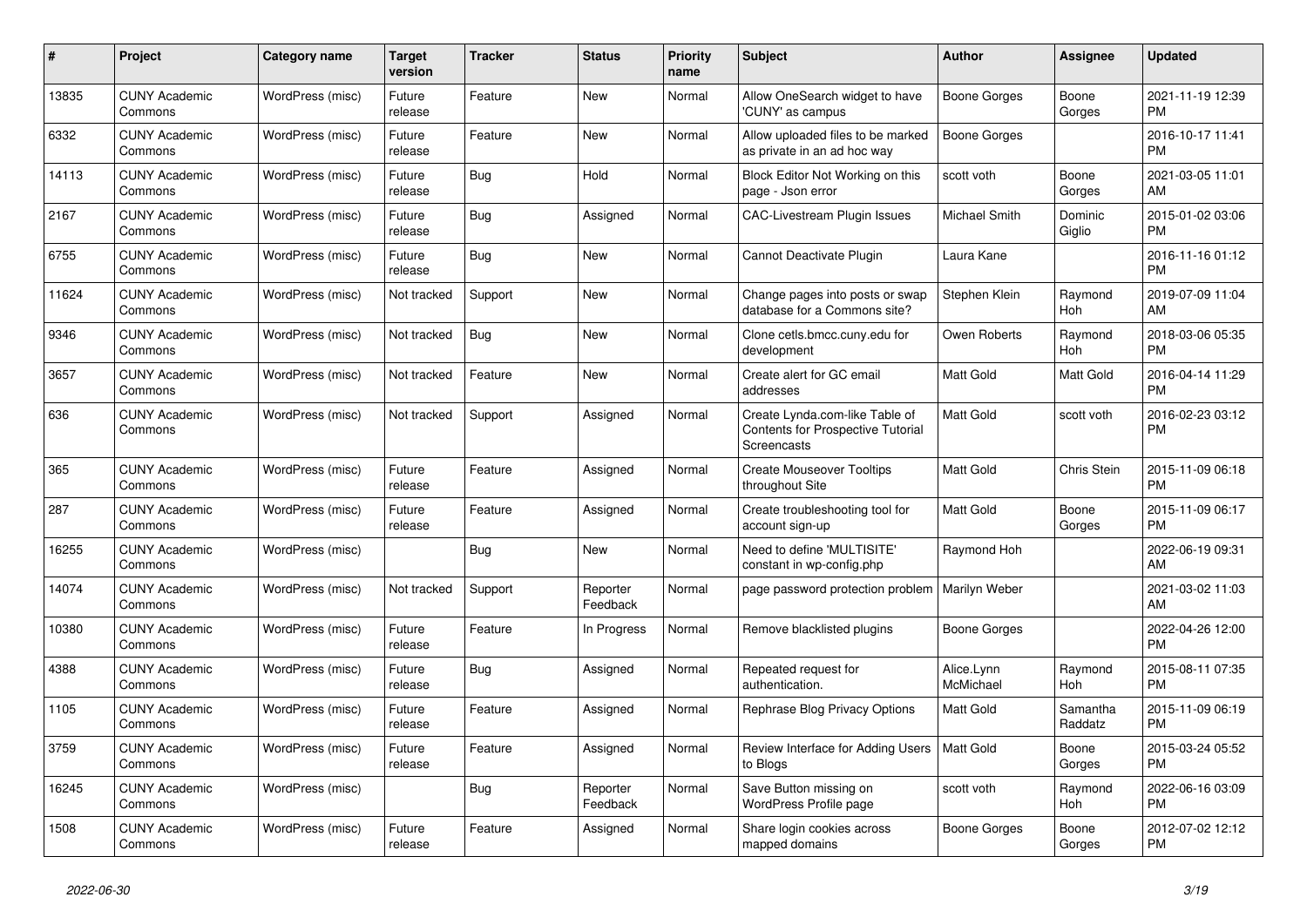| #     | Project                         | Category name    | Target<br>version | Tracker    | <b>Status</b>        | <b>Priority</b><br>name | <b>Subject</b>                                                                     | <b>Author</b>           | Assignee            | <b>Updated</b>                |
|-------|---------------------------------|------------------|-------------------|------------|----------------------|-------------------------|------------------------------------------------------------------------------------|-------------------------|---------------------|-------------------------------|
| 13835 | <b>CUNY Academic</b><br>Commons | WordPress (misc) | Future<br>release | Feature    | New                  | Normal                  | Allow OneSearch widget to have<br>'CUNY' as campus                                 | Boone Gorges            | Boone<br>Gorges     | 2021-11-19 12:39<br><b>PM</b> |
| 6332  | <b>CUNY Academic</b><br>Commons | WordPress (misc) | Future<br>release | Feature    | New                  | Normal                  | Allow uploaded files to be marked<br>as private in an ad hoc way                   | <b>Boone Gorges</b>     |                     | 2016-10-17 11:41<br><b>PM</b> |
| 14113 | <b>CUNY Academic</b><br>Commons | WordPress (misc) | Future<br>release | <b>Bug</b> | Hold                 | Normal                  | Block Editor Not Working on this<br>page - Json error                              | scott voth              | Boone<br>Gorges     | 2021-03-05 11:01<br>AM        |
| 2167  | <b>CUNY Academic</b><br>Commons | WordPress (misc) | Future<br>release | <b>Bug</b> | Assigned             | Normal                  | <b>CAC-Livestream Plugin Issues</b>                                                | Michael Smith           | Dominic<br>Giglio   | 2015-01-02 03:06<br><b>PM</b> |
| 6755  | <b>CUNY Academic</b><br>Commons | WordPress (misc) | Future<br>release | Bug        | New                  | Normal                  | Cannot Deactivate Plugin                                                           | Laura Kane              |                     | 2016-11-16 01:12<br><b>PM</b> |
| 11624 | <b>CUNY Academic</b><br>Commons | WordPress (misc) | Not tracked       | Support    | New                  | Normal                  | Change pages into posts or swap<br>database for a Commons site?                    | Stephen Klein           | Raymond<br>Hoh      | 2019-07-09 11:04<br>AM        |
| 9346  | <b>CUNY Academic</b><br>Commons | WordPress (misc) | Not tracked       | <b>Bug</b> | <b>New</b>           | Normal                  | Clone cetls.bmcc.cuny.edu for<br>development                                       | Owen Roberts            | Raymond<br>Hoh      | 2018-03-06 05:35<br><b>PM</b> |
| 3657  | <b>CUNY Academic</b><br>Commons | WordPress (misc) | Not tracked       | Feature    | <b>New</b>           | Normal                  | Create alert for GC email<br>addresses                                             | Matt Gold               | Matt Gold           | 2016-04-14 11:29<br><b>PM</b> |
| 636   | <b>CUNY Academic</b><br>Commons | WordPress (misc) | Not tracked       | Support    | Assigned             | Normal                  | Create Lynda.com-like Table of<br>Contents for Prospective Tutorial<br>Screencasts | Matt Gold               | scott voth          | 2016-02-23 03:12<br><b>PM</b> |
| 365   | <b>CUNY Academic</b><br>Commons | WordPress (misc) | Future<br>release | Feature    | Assigned             | Normal                  | <b>Create Mouseover Tooltips</b><br>throughout Site                                | Matt Gold               | Chris Stein         | 2015-11-09 06:18<br><b>PM</b> |
| 287   | <b>CUNY Academic</b><br>Commons | WordPress (misc) | Future<br>release | Feature    | Assigned             | Normal                  | Create troubleshooting tool for<br>account sign-up                                 | Matt Gold               | Boone<br>Gorges     | 2015-11-09 06:17<br><b>PM</b> |
| 16255 | <b>CUNY Academic</b><br>Commons | WordPress (misc) |                   | Bug        | New                  | Normal                  | Need to define 'MULTISITE'<br>constant in wp-config.php                            | Raymond Hoh             |                     | 2022-06-19 09:31<br>AM        |
| 14074 | <b>CUNY Academic</b><br>Commons | WordPress (misc) | Not tracked       | Support    | Reporter<br>Feedback | Normal                  | page password protection problem                                                   | Marilyn Weber           |                     | 2021-03-02 11:03<br>AM        |
| 10380 | <b>CUNY Academic</b><br>Commons | WordPress (misc) | Future<br>release | Feature    | In Progress          | Normal                  | Remove blacklisted plugins                                                         | Boone Gorges            |                     | 2022-04-26 12:00<br><b>PM</b> |
| 4388  | <b>CUNY Academic</b><br>Commons | WordPress (misc) | Future<br>release | Bug        | Assigned             | Normal                  | Repeated request for<br>authentication.                                            | Alice.Lynn<br>McMichael | Raymond<br>Hoh      | 2015-08-11 07:35<br><b>PM</b> |
| 1105  | <b>CUNY Academic</b><br>Commons | WordPress (misc) | Future<br>release | Feature    | Assigned             | Normal                  | Rephrase Blog Privacy Options                                                      | Matt Gold               | Samantha<br>Raddatz | 2015-11-09 06:19<br><b>PM</b> |
| 3759  | <b>CUNY Academic</b><br>Commons | WordPress (misc) | Future<br>release | Feature    | Assigned             | Normal                  | Review Interface for Adding Users<br>to Blogs                                      | <b>Matt Gold</b>        | Boone<br>Gorges     | 2015-03-24 05:52<br><b>PM</b> |
| 16245 | <b>CUNY Academic</b><br>Commons | WordPress (misc) |                   | Bug        | Reporter<br>Feedback | Normal                  | Save Button missing on<br><b>WordPress Profile page</b>                            | scott voth              | Raymond<br>Hoh      | 2022-06-16 03:09<br><b>PM</b> |
| 1508  | <b>CUNY Academic</b><br>Commons | WordPress (misc) | Future<br>release | Feature    | Assigned             | Normal                  | Share login cookies across<br>mapped domains                                       | Boone Gorges            | Boone<br>Gorges     | 2012-07-02 12:12<br>PM        |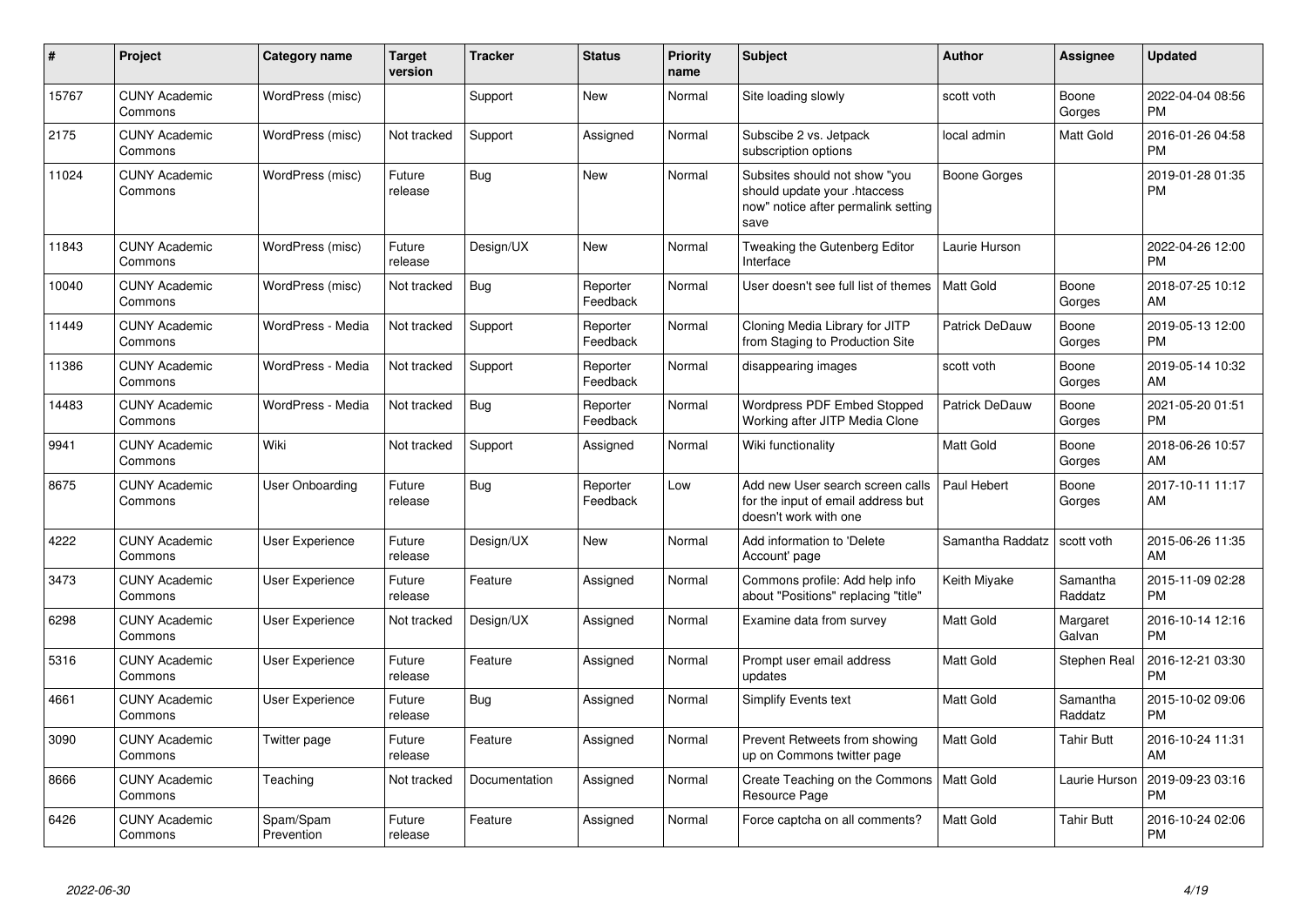| #     | Project                         | <b>Category name</b>    | <b>Target</b><br>version | <b>Tracker</b> | <b>Status</b>        | <b>Priority</b><br>name | <b>Subject</b>                                                                                               | <b>Author</b>    | <b>Assignee</b>     | <b>Updated</b>                |
|-------|---------------------------------|-------------------------|--------------------------|----------------|----------------------|-------------------------|--------------------------------------------------------------------------------------------------------------|------------------|---------------------|-------------------------------|
| 15767 | <b>CUNY Academic</b><br>Commons | WordPress (misc)        |                          | Support        | <b>New</b>           | Normal                  | Site loading slowly                                                                                          | scott voth       | Boone<br>Gorges     | 2022-04-04 08:56<br><b>PM</b> |
| 2175  | <b>CUNY Academic</b><br>Commons | WordPress (misc)        | Not tracked              | Support        | Assigned             | Normal                  | Subscibe 2 vs. Jetpack<br>subscription options                                                               | local admin      | Matt Gold           | 2016-01-26 04:58<br><b>PM</b> |
| 11024 | <b>CUNY Academic</b><br>Commons | WordPress (misc)        | Future<br>release        | <b>Bug</b>     | <b>New</b>           | Normal                  | Subsites should not show "you<br>should update your .htaccess<br>now" notice after permalink setting<br>save | Boone Gorges     |                     | 2019-01-28 01:35<br><b>PM</b> |
| 11843 | <b>CUNY Academic</b><br>Commons | WordPress (misc)        | Future<br>release        | Design/UX      | <b>New</b>           | Normal                  | Tweaking the Gutenberg Editor<br>Interface                                                                   | Laurie Hurson    |                     | 2022-04-26 12:00<br><b>PM</b> |
| 10040 | <b>CUNY Academic</b><br>Commons | WordPress (misc)        | Not tracked              | <b>Bug</b>     | Reporter<br>Feedback | Normal                  | User doesn't see full list of themes                                                                         | <b>Matt Gold</b> | Boone<br>Gorges     | 2018-07-25 10:12<br>AM        |
| 11449 | <b>CUNY Academic</b><br>Commons | WordPress - Media       | Not tracked              | Support        | Reporter<br>Feedback | Normal                  | Cloning Media Library for JITP<br>from Staging to Production Site                                            | Patrick DeDauw   | Boone<br>Gorges     | 2019-05-13 12:00<br><b>PM</b> |
| 11386 | <b>CUNY Academic</b><br>Commons | WordPress - Media       | Not tracked              | Support        | Reporter<br>Feedback | Normal                  | disappearing images                                                                                          | scott voth       | Boone<br>Gorges     | 2019-05-14 10:32<br>AM        |
| 14483 | <b>CUNY Academic</b><br>Commons | WordPress - Media       | Not tracked              | <b>Bug</b>     | Reporter<br>Feedback | Normal                  | Wordpress PDF Embed Stopped<br>Working after JITP Media Clone                                                | Patrick DeDauw   | Boone<br>Gorges     | 2021-05-20 01:51<br><b>PM</b> |
| 9941  | <b>CUNY Academic</b><br>Commons | Wiki                    | Not tracked              | Support        | Assigned             | Normal                  | Wiki functionality                                                                                           | Matt Gold        | Boone<br>Gorges     | 2018-06-26 10:57<br>AM        |
| 8675  | <b>CUNY Academic</b><br>Commons | User Onboarding         | Future<br>release        | <b>Bug</b>     | Reporter<br>Feedback | Low                     | Add new User search screen calls<br>for the input of email address but<br>doesn't work with one              | Paul Hebert      | Boone<br>Gorges     | 2017-10-11 11:17<br>AM        |
| 4222  | <b>CUNY Academic</b><br>Commons | User Experience         | Future<br>release        | Design/UX      | <b>New</b>           | Normal                  | Add information to 'Delete<br>Account' page                                                                  | Samantha Raddatz | scott voth          | 2015-06-26 11:35<br>AM        |
| 3473  | <b>CUNY Academic</b><br>Commons | <b>User Experience</b>  | Future<br>release        | Feature        | Assigned             | Normal                  | Commons profile: Add help info<br>about "Positions" replacing "title"                                        | Keith Miyake     | Samantha<br>Raddatz | 2015-11-09 02:28<br><b>PM</b> |
| 6298  | <b>CUNY Academic</b><br>Commons | User Experience         | Not tracked              | Design/UX      | Assigned             | Normal                  | Examine data from survey                                                                                     | <b>Matt Gold</b> | Margaret<br>Galvan  | 2016-10-14 12:16<br><b>PM</b> |
| 5316  | <b>CUNY Academic</b><br>Commons | <b>User Experience</b>  | Future<br>release        | Feature        | Assigned             | Normal                  | Prompt user email address<br>updates                                                                         | <b>Matt Gold</b> | Stephen Real        | 2016-12-21 03:30<br><b>PM</b> |
| 4661  | <b>CUNY Academic</b><br>Commons | User Experience         | Future<br>release        | Bug            | Assigned             | Normal                  | <b>Simplify Events text</b>                                                                                  | <b>Matt Gold</b> | Samantha<br>Raddatz | 2015-10-02 09:06<br><b>PM</b> |
| 3090  | <b>CUNY Academic</b><br>Commons | Twitter page            | Future<br>release        | Feature        | Assigned             | Normal                  | Prevent Retweets from showing<br>up on Commons twitter page                                                  | <b>Matt Gold</b> | Tahir Butt          | 2016-10-24 11:31<br>AM        |
| 8666  | <b>CUNY Academic</b><br>Commons | Teaching                | Not tracked              | Documentation  | Assigned             | Normal                  | Create Teaching on the Commons<br>Resource Page                                                              | <b>Matt Gold</b> | Laurie Hurson       | 2019-09-23 03:16<br><b>PM</b> |
| 6426  | <b>CUNY Academic</b><br>Commons | Spam/Spam<br>Prevention | Future<br>release        | Feature        | Assigned             | Normal                  | Force captcha on all comments?                                                                               | <b>Matt Gold</b> | <b>Tahir Butt</b>   | 2016-10-24 02:06<br><b>PM</b> |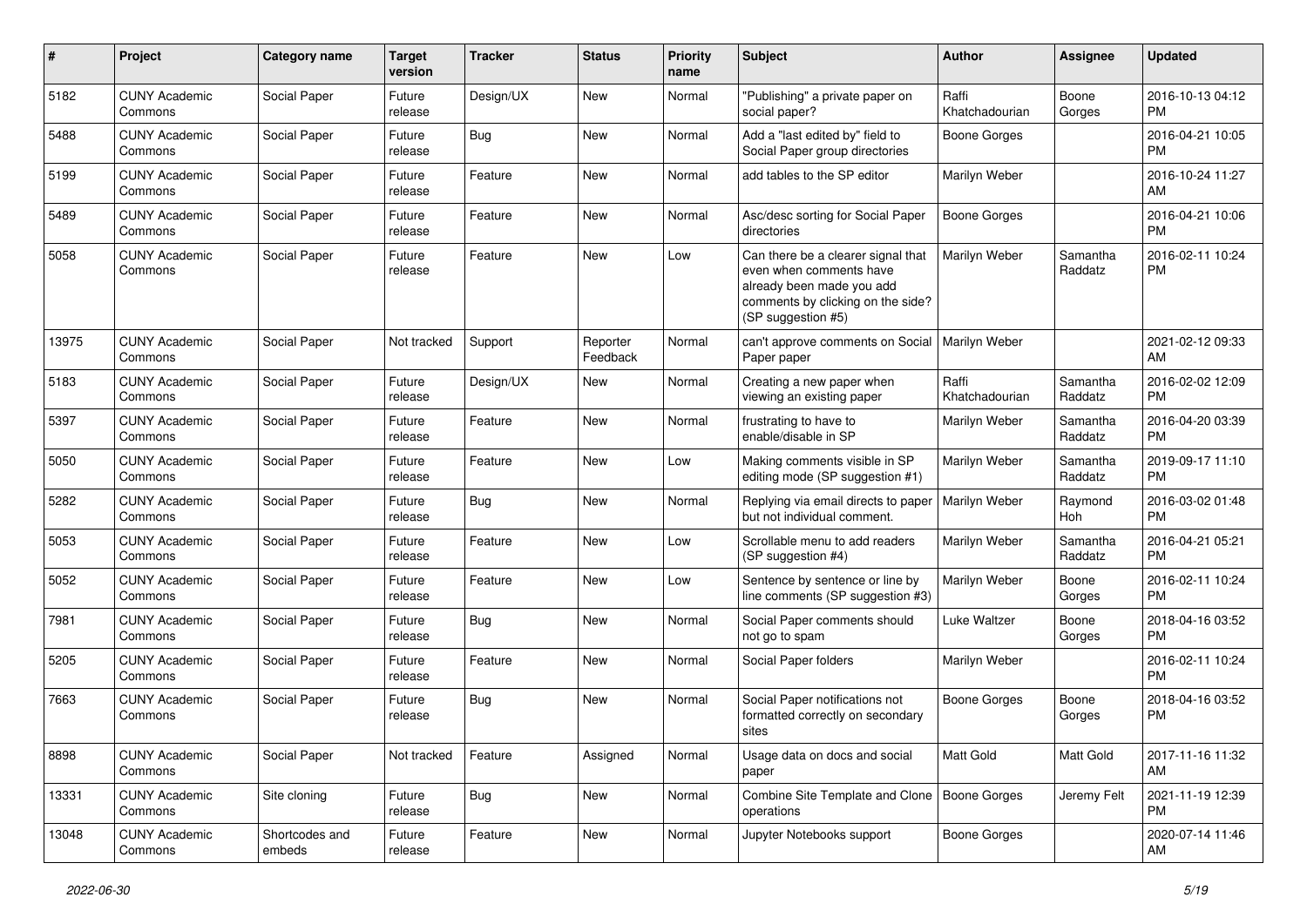| #     | Project                         | <b>Category name</b>     | <b>Target</b><br>version | Tracker    | <b>Status</b>        | <b>Priority</b><br>name | <b>Subject</b>                                                                                                                                        | Author                  | <b>Assignee</b>     | <b>Updated</b>                |
|-------|---------------------------------|--------------------------|--------------------------|------------|----------------------|-------------------------|-------------------------------------------------------------------------------------------------------------------------------------------------------|-------------------------|---------------------|-------------------------------|
| 5182  | <b>CUNY Academic</b><br>Commons | Social Paper             | Future<br>release        | Design/UX  | New                  | Normal                  | "Publishing" a private paper on<br>social paper?                                                                                                      | Raffi<br>Khatchadourian | Boone<br>Gorges     | 2016-10-13 04:12<br>PM.       |
| 5488  | <b>CUNY Academic</b><br>Commons | Social Paper             | Future<br>release        | Bug        | New                  | Normal                  | Add a "last edited by" field to<br>Social Paper group directories                                                                                     | Boone Gorges            |                     | 2016-04-21 10:05<br><b>PM</b> |
| 5199  | <b>CUNY Academic</b><br>Commons | Social Paper             | Future<br>release        | Feature    | New                  | Normal                  | add tables to the SP editor                                                                                                                           | Marilyn Weber           |                     | 2016-10-24 11:27<br>AM        |
| 5489  | <b>CUNY Academic</b><br>Commons | Social Paper             | Future<br>release        | Feature    | New                  | Normal                  | Asc/desc sorting for Social Paper<br>directories                                                                                                      | <b>Boone Gorges</b>     |                     | 2016-04-21 10:06<br><b>PM</b> |
| 5058  | <b>CUNY Academic</b><br>Commons | Social Paper             | Future<br>release        | Feature    | <b>New</b>           | Low                     | Can there be a clearer signal that<br>even when comments have<br>already been made you add<br>comments by clicking on the side?<br>(SP suggestion #5) | Marilyn Weber           | Samantha<br>Raddatz | 2016-02-11 10:24<br><b>PM</b> |
| 13975 | <b>CUNY Academic</b><br>Commons | Social Paper             | Not tracked              | Support    | Reporter<br>Feedback | Normal                  | can't approve comments on Social<br>Paper paper                                                                                                       | Marilyn Weber           |                     | 2021-02-12 09:33<br>AM.       |
| 5183  | <b>CUNY Academic</b><br>Commons | Social Paper             | Future<br>release        | Design/UX  | New                  | Normal                  | Creating a new paper when<br>viewing an existing paper                                                                                                | Raffi<br>Khatchadourian | Samantha<br>Raddatz | 2016-02-02 12:09<br><b>PM</b> |
| 5397  | <b>CUNY Academic</b><br>Commons | Social Paper             | Future<br>release        | Feature    | New                  | Normal                  | frustrating to have to<br>enable/disable in SP                                                                                                        | Marilyn Weber           | Samantha<br>Raddatz | 2016-04-20 03:39<br><b>PM</b> |
| 5050  | <b>CUNY Academic</b><br>Commons | Social Paper             | Future<br>release        | Feature    | New                  | Low                     | Making comments visible in SP<br>editing mode (SP suggestion #1)                                                                                      | Marilyn Weber           | Samantha<br>Raddatz | 2019-09-17 11:10<br><b>PM</b> |
| 5282  | <b>CUNY Academic</b><br>Commons | Social Paper             | Future<br>release        | Bug        | New                  | Normal                  | Replying via email directs to paper<br>but not individual comment.                                                                                    | Marilyn Weber           | Raymond<br>Hoh      | 2016-03-02 01:48<br><b>PM</b> |
| 5053  | <b>CUNY Academic</b><br>Commons | Social Paper             | Future<br>release        | Feature    | New                  | Low                     | Scrollable menu to add readers<br>(SP suggestion #4)                                                                                                  | Marilyn Weber           | Samantha<br>Raddatz | 2016-04-21 05:21<br><b>PM</b> |
| 5052  | <b>CUNY Academic</b><br>Commons | Social Paper             | Future<br>release        | Feature    | <b>New</b>           | Low                     | Sentence by sentence or line by<br>line comments (SP suggestion #3)                                                                                   | Marilyn Weber           | Boone<br>Gorges     | 2016-02-11 10:24<br><b>PM</b> |
| 7981  | <b>CUNY Academic</b><br>Commons | Social Paper             | Future<br>release        | Bug        | New                  | Normal                  | Social Paper comments should<br>not go to spam                                                                                                        | Luke Waltzer            | Boone<br>Gorges     | 2018-04-16 03:52<br><b>PM</b> |
| 5205  | <b>CUNY Academic</b><br>Commons | Social Paper             | Future<br>release        | Feature    | New                  | Normal                  | Social Paper folders                                                                                                                                  | Marilyn Weber           |                     | 2016-02-11 10:24<br><b>PM</b> |
| 7663  | <b>CUNY Academic</b><br>Commons | Social Paper             | Future<br>release        | Bug        | <b>New</b>           | Normal                  | Social Paper notifications not<br>formatted correctly on secondary<br>sites                                                                           | Boone Gorges            | Boone<br>Gorges     | 2018-04-16 03:52<br><b>PM</b> |
| 8898  | <b>CUNY Academic</b><br>Commons | Social Paper             | Not tracked              | Feature    | Assigned             | Normal                  | Usage data on docs and social<br>paper                                                                                                                | Matt Gold               | Matt Gold           | 2017-11-16 11:32<br>AM        |
| 13331 | <b>CUNY Academic</b><br>Commons | Site cloning             | Future<br>release        | <b>Bug</b> | New                  | Normal                  | Combine Site Template and Clone   Boone Gorges<br>operations                                                                                          |                         | Jeremy Felt         | 2021-11-19 12:39<br><b>PM</b> |
| 13048 | <b>CUNY Academic</b><br>Commons | Shortcodes and<br>embeds | Future<br>release        | Feature    | New                  | Normal                  | Jupyter Notebooks support                                                                                                                             | Boone Gorges            |                     | 2020-07-14 11:46<br>AM        |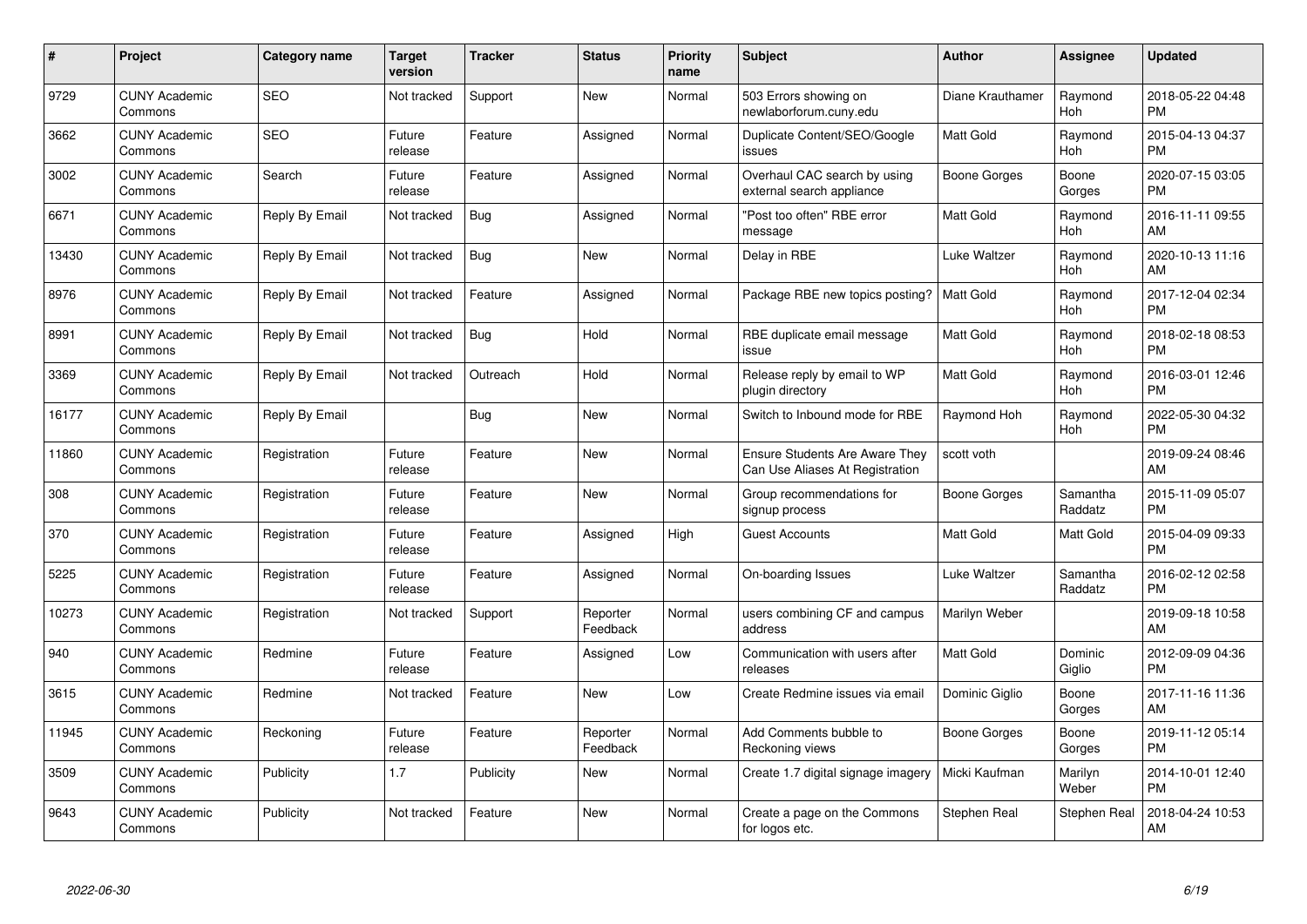| #     | <b>Project</b>                  | Category name  | <b>Target</b><br>version | <b>Tracker</b> | <b>Status</b>        | <b>Priority</b><br>name | <b>Subject</b>                                                    | <b>Author</b>    | Assignee            | <b>Updated</b>                |
|-------|---------------------------------|----------------|--------------------------|----------------|----------------------|-------------------------|-------------------------------------------------------------------|------------------|---------------------|-------------------------------|
| 9729  | <b>CUNY Academic</b><br>Commons | <b>SEO</b>     | Not tracked              | Support        | New                  | Normal                  | 503 Errors showing on<br>newlaborforum.cuny.edu                   | Diane Krauthamer | Raymond<br>Hoh      | 2018-05-22 04:48<br><b>PM</b> |
| 3662  | <b>CUNY Academic</b><br>Commons | <b>SEO</b>     | Future<br>release        | Feature        | Assigned             | Normal                  | Duplicate Content/SEO/Google<br>issues                            | Matt Gold        | Raymond<br>Hoh      | 2015-04-13 04:37<br><b>PM</b> |
| 3002  | <b>CUNY Academic</b><br>Commons | Search         | Future<br>release        | Feature        | Assigned             | Normal                  | Overhaul CAC search by using<br>external search appliance         | Boone Gorges     | Boone<br>Gorges     | 2020-07-15 03:05<br><b>PM</b> |
| 6671  | <b>CUNY Academic</b><br>Commons | Reply By Email | Not tracked              | Bug            | Assigned             | Normal                  | "Post too often" RBE error<br>message                             | Matt Gold        | Raymond<br>Hoh      | 2016-11-11 09:55<br>AM        |
| 13430 | <b>CUNY Academic</b><br>Commons | Reply By Email | Not tracked              | Bug            | <b>New</b>           | Normal                  | Delay in RBE                                                      | Luke Waltzer     | Raymond<br>Hoh      | 2020-10-13 11:16<br>AM        |
| 8976  | <b>CUNY Academic</b><br>Commons | Reply By Email | Not tracked              | Feature        | Assigned             | Normal                  | Package RBE new topics posting?                                   | <b>Matt Gold</b> | Raymond<br>Hoh      | 2017-12-04 02:34<br><b>PM</b> |
| 8991  | <b>CUNY Academic</b><br>Commons | Reply By Email | Not tracked              | Bug            | Hold                 | Normal                  | RBE duplicate email message<br>issue                              | <b>Matt Gold</b> | Raymond<br>Hoh      | 2018-02-18 08:53<br><b>PM</b> |
| 3369  | <b>CUNY Academic</b><br>Commons | Reply By Email | Not tracked              | Outreach       | Hold                 | Normal                  | Release reply by email to WP<br>plugin directory                  | <b>Matt Gold</b> | Raymond<br>Hoh      | 2016-03-01 12:46<br><b>PM</b> |
| 16177 | <b>CUNY Academic</b><br>Commons | Reply By Email |                          | <b>Bug</b>     | <b>New</b>           | Normal                  | Switch to Inbound mode for RBE                                    | Raymond Hoh      | Raymond<br>Hoh      | 2022-05-30 04:32<br><b>PM</b> |
| 11860 | <b>CUNY Academic</b><br>Commons | Registration   | Future<br>release        | Feature        | <b>New</b>           | Normal                  | Ensure Students Are Aware They<br>Can Use Aliases At Registration | scott voth       |                     | 2019-09-24 08:46<br>AM        |
| 308   | <b>CUNY Academic</b><br>Commons | Registration   | Future<br>release        | Feature        | <b>New</b>           | Normal                  | Group recommendations for<br>signup process                       | Boone Gorges     | Samantha<br>Raddatz | 2015-11-09 05:07<br><b>PM</b> |
| 370   | <b>CUNY Academic</b><br>Commons | Registration   | Future<br>release        | Feature        | Assigned             | High                    | <b>Guest Accounts</b>                                             | <b>Matt Gold</b> | Matt Gold           | 2015-04-09 09:33<br><b>PM</b> |
| 5225  | <b>CUNY Academic</b><br>Commons | Registration   | Future<br>release        | Feature        | Assigned             | Normal                  | On-boarding Issues                                                | Luke Waltzer     | Samantha<br>Raddatz | 2016-02-12 02:58<br><b>PM</b> |
| 10273 | <b>CUNY Academic</b><br>Commons | Registration   | Not tracked              | Support        | Reporter<br>Feedback | Normal                  | users combining CF and campus<br>address                          | Marilyn Weber    |                     | 2019-09-18 10:58<br>AM        |
| 940   | <b>CUNY Academic</b><br>Commons | Redmine        | Future<br>release        | Feature        | Assigned             | Low                     | Communication with users after<br>releases                        | <b>Matt Gold</b> | Dominic<br>Giglio   | 2012-09-09 04:36<br><b>PM</b> |
| 3615  | <b>CUNY Academic</b><br>Commons | Redmine        | Not tracked              | Feature        | <b>New</b>           | Low                     | Create Redmine issues via email                                   | Dominic Giglio   | Boone<br>Gorges     | 2017-11-16 11:36<br>AM        |
| 11945 | <b>CUNY Academic</b><br>Commons | Reckoning      | Future<br>release        | Feature        | Reporter<br>Feedback | Normal                  | Add Comments bubble to<br>Reckoning views                         | Boone Gorges     | Boone<br>Gorges     | 2019-11-12 05:14<br><b>PM</b> |
| 3509  | <b>CUNY Academic</b><br>Commons | Publicity      | 1.7                      | Publicity      | New                  | Normal                  | Create 1.7 digital signage imagery                                | Micki Kaufman    | Marilyn<br>Weber    | 2014-10-01 12:40<br><b>PM</b> |
| 9643  | <b>CUNY Academic</b><br>Commons | Publicity      | Not tracked              | Feature        | <b>New</b>           | Normal                  | Create a page on the Commons<br>for logos etc.                    | Stephen Real     | Stephen Real        | 2018-04-24 10:53<br>AM        |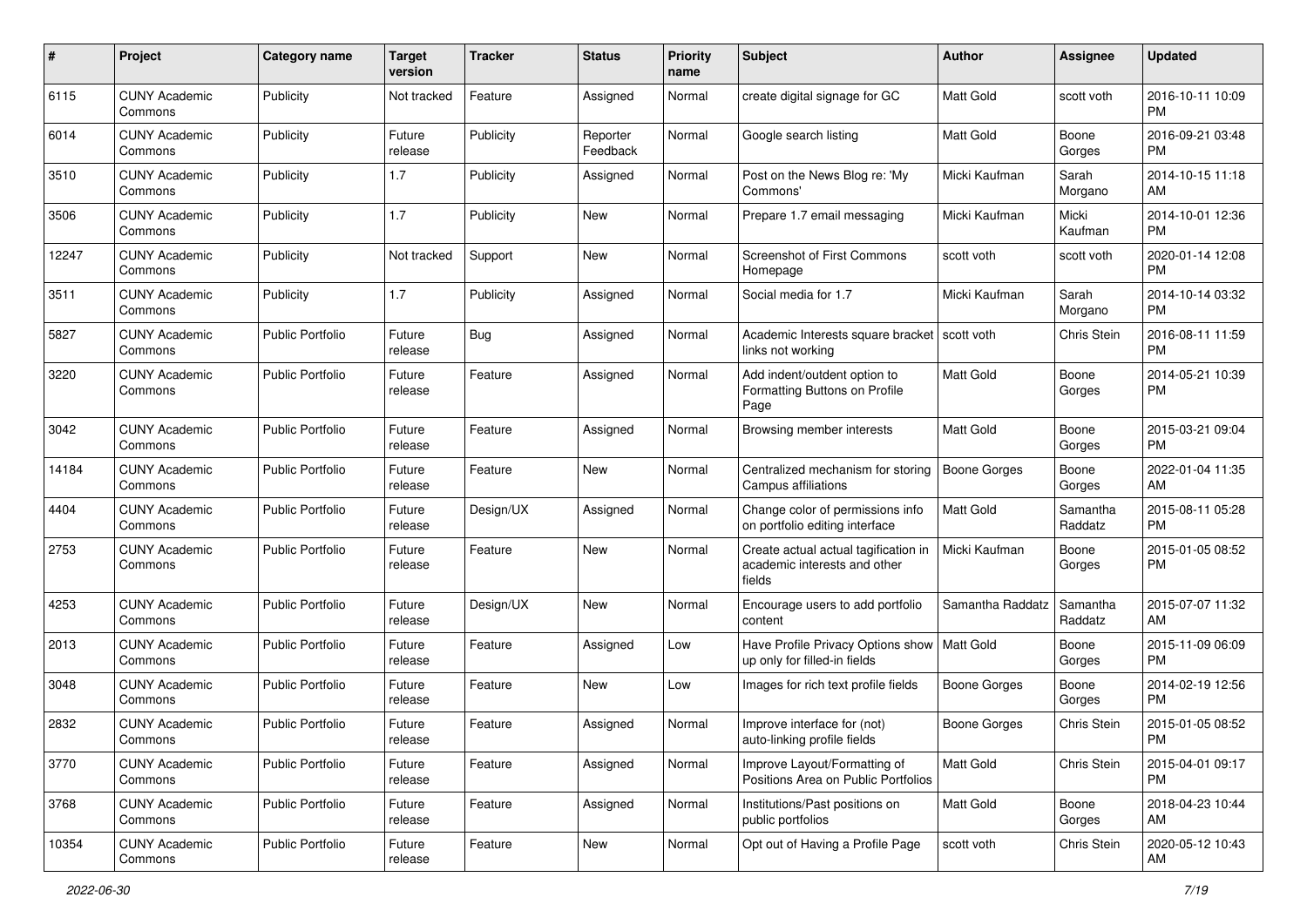| #     | Project                         | <b>Category name</b>    | <b>Target</b><br>version | <b>Tracker</b> | <b>Status</b>        | Priority<br>name | <b>Subject</b>                                                                 | <b>Author</b>       | <b>Assignee</b>     | <b>Updated</b>                |
|-------|---------------------------------|-------------------------|--------------------------|----------------|----------------------|------------------|--------------------------------------------------------------------------------|---------------------|---------------------|-------------------------------|
| 6115  | <b>CUNY Academic</b><br>Commons | Publicity               | Not tracked              | Feature        | Assigned             | Normal           | create digital signage for GC                                                  | <b>Matt Gold</b>    | scott voth          | 2016-10-11 10:09<br><b>PM</b> |
| 6014  | <b>CUNY Academic</b><br>Commons | Publicity               | Future<br>release        | Publicity      | Reporter<br>Feedback | Normal           | Google search listing                                                          | <b>Matt Gold</b>    | Boone<br>Gorges     | 2016-09-21 03:48<br><b>PM</b> |
| 3510  | <b>CUNY Academic</b><br>Commons | Publicity               | 1.7                      | Publicity      | Assigned             | Normal           | Post on the News Blog re: 'My<br>Commons'                                      | Micki Kaufman       | Sarah<br>Morgano    | 2014-10-15 11:18<br>AM        |
| 3506  | <b>CUNY Academic</b><br>Commons | Publicity               | 1.7                      | Publicity      | New                  | Normal           | Prepare 1.7 email messaging                                                    | Micki Kaufman       | Micki<br>Kaufman    | 2014-10-01 12:36<br><b>PM</b> |
| 12247 | <b>CUNY Academic</b><br>Commons | Publicity               | Not tracked              | Support        | New                  | Normal           | <b>Screenshot of First Commons</b><br>Homepage                                 | scott voth          | scott voth          | 2020-01-14 12:08<br><b>PM</b> |
| 3511  | <b>CUNY Academic</b><br>Commons | Publicity               | 1.7                      | Publicity      | Assigned             | Normal           | Social media for 1.7                                                           | Micki Kaufman       | Sarah<br>Morgano    | 2014-10-14 03:32<br><b>PM</b> |
| 5827  | <b>CUNY Academic</b><br>Commons | <b>Public Portfolio</b> | Future<br>release        | Bug            | Assigned             | Normal           | Academic Interests square bracket<br>links not working                         | l scott voth        | Chris Stein         | 2016-08-11 11:59<br><b>PM</b> |
| 3220  | <b>CUNY Academic</b><br>Commons | <b>Public Portfolio</b> | Future<br>release        | Feature        | Assigned             | Normal           | Add indent/outdent option to<br>Formatting Buttons on Profile<br>Page          | <b>Matt Gold</b>    | Boone<br>Gorges     | 2014-05-21 10:39<br>PM.       |
| 3042  | <b>CUNY Academic</b><br>Commons | <b>Public Portfolio</b> | Future<br>release        | Feature        | Assigned             | Normal           | Browsing member interests                                                      | <b>Matt Gold</b>    | Boone<br>Gorges     | 2015-03-21 09:04<br>PM.       |
| 14184 | <b>CUNY Academic</b><br>Commons | <b>Public Portfolio</b> | Future<br>release        | Feature        | New                  | Normal           | Centralized mechanism for storing<br>Campus affiliations                       | <b>Boone Gorges</b> | Boone<br>Gorges     | 2022-01-04 11:35<br>AM        |
| 4404  | <b>CUNY Academic</b><br>Commons | <b>Public Portfolio</b> | Future<br>release        | Design/UX      | Assigned             | Normal           | Change color of permissions info<br>on portfolio editing interface             | Matt Gold           | Samantha<br>Raddatz | 2015-08-11 05:28<br><b>PM</b> |
| 2753  | <b>CUNY Academic</b><br>Commons | Public Portfolio        | Future<br>release        | Feature        | New                  | Normal           | Create actual actual tagification in<br>academic interests and other<br>fields | Micki Kaufman       | Boone<br>Gorges     | 2015-01-05 08:52<br>PM.       |
| 4253  | <b>CUNY Academic</b><br>Commons | Public Portfolio        | Future<br>release        | Design/UX      | New                  | Normal           | Encourage users to add portfolio<br>content                                    | Samantha Raddatz    | Samantha<br>Raddatz | 2015-07-07 11:32<br>AM        |
| 2013  | <b>CUNY Academic</b><br>Commons | <b>Public Portfolio</b> | Future<br>release        | Feature        | Assigned             | Low              | Have Profile Privacy Options show   Matt Gold<br>up only for filled-in fields  |                     | Boone<br>Gorges     | 2015-11-09 06:09<br>PM.       |
| 3048  | <b>CUNY Academic</b><br>Commons | <b>Public Portfolio</b> | Future<br>release        | Feature        | New                  | Low              | Images for rich text profile fields                                            | Boone Gorges        | Boone<br>Gorges     | 2014-02-19 12:56<br>PM.       |
| 2832  | <b>CUNY Academic</b><br>Commons | <b>Public Portfolio</b> | Future<br>release        | Feature        | Assigned             | Normal           | Improve interface for (not)<br>auto-linking profile fields                     | Boone Gorges        | Chris Stein         | 2015-01-05 08:52<br>PM        |
| 3770  | <b>CUNY Academic</b><br>Commons | <b>Public Portfolio</b> | Future<br>release        | Feature        | Assigned             | Normal           | Improve Layout/Formatting of<br>Positions Area on Public Portfolios            | Matt Gold           | Chris Stein         | 2015-04-01 09:17<br><b>PM</b> |
| 3768  | <b>CUNY Academic</b><br>Commons | Public Portfolio        | Future<br>release        | Feature        | Assigned             | Normal           | Institutions/Past positions on<br>public portfolios                            | Matt Gold           | Boone<br>Gorges     | 2018-04-23 10:44<br>AM        |
| 10354 | <b>CUNY Academic</b><br>Commons | Public Portfolio        | Future<br>release        | Feature        | New                  | Normal           | Opt out of Having a Profile Page                                               | scott voth          | Chris Stein         | 2020-05-12 10:43<br>AM        |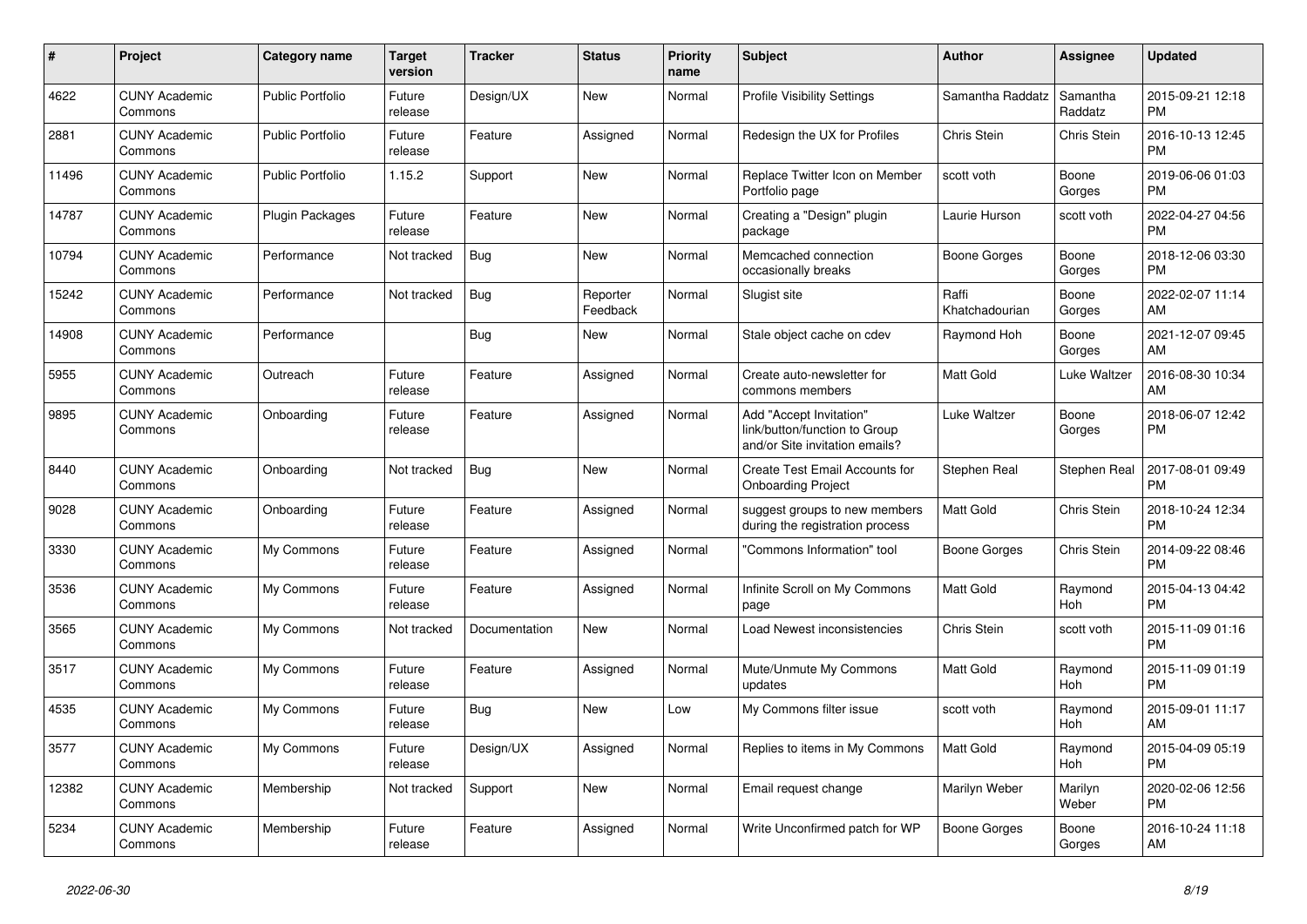| $\pmb{\#}$ | <b>Project</b>                  | <b>Category name</b>    | <b>Target</b><br>version | <b>Tracker</b> | <b>Status</b>        | <b>Priority</b><br>name | <b>Subject</b>                                                                             | <b>Author</b>           | Assignee            | <b>Updated</b>                |
|------------|---------------------------------|-------------------------|--------------------------|----------------|----------------------|-------------------------|--------------------------------------------------------------------------------------------|-------------------------|---------------------|-------------------------------|
| 4622       | <b>CUNY Academic</b><br>Commons | <b>Public Portfolio</b> | Future<br>release        | Design/UX      | New                  | Normal                  | <b>Profile Visibility Settings</b>                                                         | Samantha Raddatz        | Samantha<br>Raddatz | 2015-09-21 12:18<br><b>PM</b> |
| 2881       | <b>CUNY Academic</b><br>Commons | <b>Public Portfolio</b> | Future<br>release        | Feature        | Assigned             | Normal                  | Redesign the UX for Profiles                                                               | Chris Stein             | <b>Chris Stein</b>  | 2016-10-13 12:45<br><b>PM</b> |
| 11496      | <b>CUNY Academic</b><br>Commons | <b>Public Portfolio</b> | 1.15.2                   | Support        | New                  | Normal                  | Replace Twitter Icon on Member<br>Portfolio page                                           | scott voth              | Boone<br>Gorges     | 2019-06-06 01:03<br><b>PM</b> |
| 14787      | <b>CUNY Academic</b><br>Commons | <b>Plugin Packages</b>  | Future<br>release        | Feature        | <b>New</b>           | Normal                  | Creating a "Design" plugin<br>package                                                      | Laurie Hurson           | scott voth          | 2022-04-27 04:56<br><b>PM</b> |
| 10794      | <b>CUNY Academic</b><br>Commons | Performance             | Not tracked              | <b>Bug</b>     | New                  | Normal                  | Memcached connection<br>occasionally breaks                                                | <b>Boone Gorges</b>     | Boone<br>Gorges     | 2018-12-06 03:30<br><b>PM</b> |
| 15242      | <b>CUNY Academic</b><br>Commons | Performance             | Not tracked              | Bug            | Reporter<br>Feedback | Normal                  | Slugist site                                                                               | Raffi<br>Khatchadourian | Boone<br>Gorges     | 2022-02-07 11:14<br>AM        |
| 14908      | <b>CUNY Academic</b><br>Commons | Performance             |                          | <b>Bug</b>     | <b>New</b>           | Normal                  | Stale object cache on cdev                                                                 | Raymond Hoh             | Boone<br>Gorges     | 2021-12-07 09:45<br>AM        |
| 5955       | <b>CUNY Academic</b><br>Commons | Outreach                | Future<br>release        | Feature        | Assigned             | Normal                  | Create auto-newsletter for<br>commons members                                              | <b>Matt Gold</b>        | Luke Waltzer        | 2016-08-30 10:34<br>AM        |
| 9895       | <b>CUNY Academic</b><br>Commons | Onboarding              | Future<br>release        | Feature        | Assigned             | Normal                  | Add "Accept Invitation"<br>link/button/function to Group<br>and/or Site invitation emails? | Luke Waltzer            | Boone<br>Gorges     | 2018-06-07 12:42<br><b>PM</b> |
| 8440       | <b>CUNY Academic</b><br>Commons | Onboarding              | Not tracked              | <b>Bug</b>     | <b>New</b>           | Normal                  | Create Test Email Accounts for<br><b>Onboarding Project</b>                                | Stephen Real            | Stephen Real        | 2017-08-01 09:49<br><b>PM</b> |
| 9028       | <b>CUNY Academic</b><br>Commons | Onboarding              | Future<br>release        | Feature        | Assigned             | Normal                  | suggest groups to new members<br>during the registration process                           | Matt Gold               | Chris Stein         | 2018-10-24 12:34<br><b>PM</b> |
| 3330       | <b>CUNY Academic</b><br>Commons | My Commons              | Future<br>release        | Feature        | Assigned             | Normal                  | "Commons Information" tool                                                                 | Boone Gorges            | Chris Stein         | 2014-09-22 08:46<br><b>PM</b> |
| 3536       | <b>CUNY Academic</b><br>Commons | My Commons              | Future<br>release        | Feature        | Assigned             | Normal                  | Infinite Scroll on My Commons<br>page                                                      | <b>Matt Gold</b>        | Raymond<br>Hoh      | 2015-04-13 04:42<br><b>PM</b> |
| 3565       | <b>CUNY Academic</b><br>Commons | My Commons              | Not tracked              | Documentation  | New                  | Normal                  | Load Newest inconsistencies                                                                | Chris Stein             | scott voth          | 2015-11-09 01:16<br><b>PM</b> |
| 3517       | <b>CUNY Academic</b><br>Commons | My Commons              | Future<br>release        | Feature        | Assigned             | Normal                  | Mute/Unmute My Commons<br>updates                                                          | Matt Gold               | Raymond<br>Hoh      | 2015-11-09 01:19<br><b>PM</b> |
| 4535       | <b>CUNY Academic</b><br>Commons | My Commons              | Future<br>release        | Bug            | <b>New</b>           | Low                     | My Commons filter issue                                                                    | scott voth              | Raymond<br>Hoh      | 2015-09-01 11:17<br>AM        |
| 3577       | <b>CUNY Academic</b><br>Commons | My Commons              | Future<br>release        | Design/UX      | Assigned             | Normal                  | Replies to items in My Commons                                                             | Matt Gold               | Raymond<br>Hoh      | 2015-04-09 05:19<br><b>PM</b> |
| 12382      | <b>CUNY Academic</b><br>Commons | Membership              | Not tracked              | Support        | New                  | Normal                  | Email request change                                                                       | Marilyn Weber           | Marilyn<br>Weber    | 2020-02-06 12:56<br><b>PM</b> |
| 5234       | <b>CUNY Academic</b><br>Commons | Membership              | Future<br>release        | Feature        | Assigned             | Normal                  | Write Unconfirmed patch for WP                                                             | Boone Gorges            | Boone<br>Gorges     | 2016-10-24 11:18<br>AM        |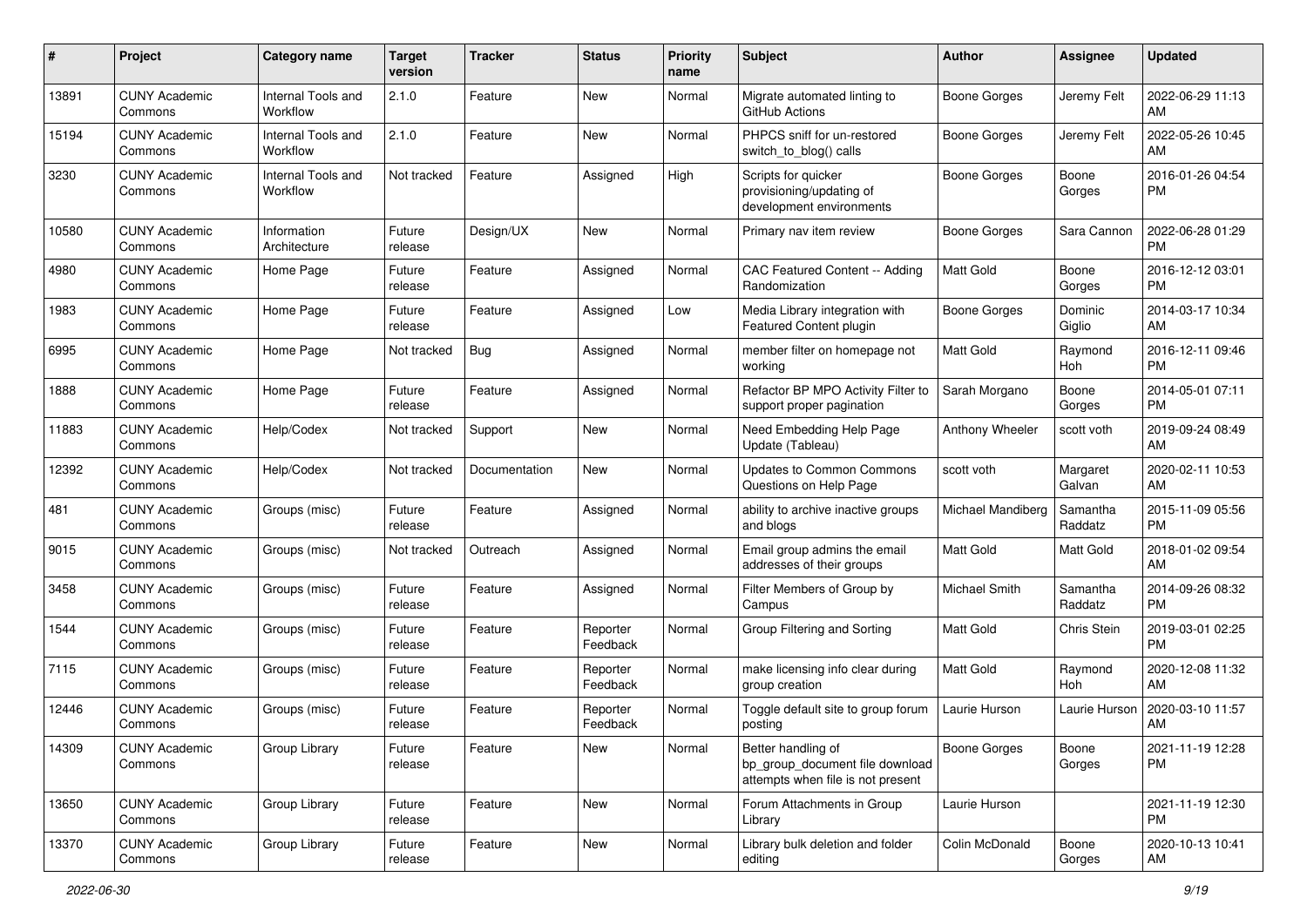| #     | Project                         | <b>Category name</b>           | <b>Target</b><br>version | <b>Tracker</b> | <b>Status</b>        | Priority<br>name | <b>Subject</b>                                                                             | Author              | <b>Assignee</b>     | <b>Updated</b>                |
|-------|---------------------------------|--------------------------------|--------------------------|----------------|----------------------|------------------|--------------------------------------------------------------------------------------------|---------------------|---------------------|-------------------------------|
| 13891 | <b>CUNY Academic</b><br>Commons | Internal Tools and<br>Workflow | 2.1.0                    | Feature        | New                  | Normal           | Migrate automated linting to<br>GitHub Actions                                             | <b>Boone Gorges</b> | Jeremy Felt         | 2022-06-29 11:13<br>AM        |
| 15194 | <b>CUNY Academic</b><br>Commons | Internal Tools and<br>Workflow | 2.1.0                    | Feature        | New                  | Normal           | PHPCS sniff for un-restored<br>switch_to_blog() calls                                      | Boone Gorges        | Jeremy Felt         | 2022-05-26 10:45<br>AM        |
| 3230  | <b>CUNY Academic</b><br>Commons | Internal Tools and<br>Workflow | Not tracked              | Feature        | Assigned             | High             | Scripts for quicker<br>provisioning/updating of<br>development environments                | Boone Gorges        | Boone<br>Gorges     | 2016-01-26 04:54<br><b>PM</b> |
| 10580 | <b>CUNY Academic</b><br>Commons | Information<br>Architecture    | Future<br>release        | Design/UX      | New                  | Normal           | Primary nav item review                                                                    | <b>Boone Gorges</b> | Sara Cannon         | 2022-06-28 01:29<br><b>PM</b> |
| 4980  | <b>CUNY Academic</b><br>Commons | Home Page                      | Future<br>release        | Feature        | Assigned             | Normal           | CAC Featured Content -- Adding<br>Randomization                                            | Matt Gold           | Boone<br>Gorges     | 2016-12-12 03:01<br><b>PM</b> |
| 1983  | <b>CUNY Academic</b><br>Commons | Home Page                      | Future<br>release        | Feature        | Assigned             | Low              | Media Library integration with<br>Featured Content plugin                                  | Boone Gorges        | Dominic<br>Giglio   | 2014-03-17 10:34<br>AM        |
| 6995  | <b>CUNY Academic</b><br>Commons | Home Page                      | Not tracked              | <b>Bug</b>     | Assigned             | Normal           | member filter on homepage not<br>working                                                   | <b>Matt Gold</b>    | Raymond<br>Hoh      | 2016-12-11 09:46<br><b>PM</b> |
| 1888  | <b>CUNY Academic</b><br>Commons | Home Page                      | Future<br>release        | Feature        | Assigned             | Normal           | Refactor BP MPO Activity Filter to<br>support proper pagination                            | Sarah Morgano       | Boone<br>Gorges     | 2014-05-01 07:11<br><b>PM</b> |
| 11883 | <b>CUNY Academic</b><br>Commons | Help/Codex                     | Not tracked              | Support        | New                  | Normal           | Need Embedding Help Page<br>Update (Tableau)                                               | Anthony Wheeler     | scott voth          | 2019-09-24 08:49<br>AM        |
| 12392 | <b>CUNY Academic</b><br>Commons | Help/Codex                     | Not tracked              | Documentation  | New                  | Normal           | <b>Updates to Common Commons</b><br>Questions on Help Page                                 | scott voth          | Margaret<br>Galvan  | 2020-02-11 10:53<br>AM        |
| 481   | <b>CUNY Academic</b><br>Commons | Groups (misc)                  | Future<br>release        | Feature        | Assigned             | Normal           | ability to archive inactive groups<br>and blogs                                            | Michael Mandiberg   | Samantha<br>Raddatz | 2015-11-09 05:56<br><b>PM</b> |
| 9015  | <b>CUNY Academic</b><br>Commons | Groups (misc)                  | Not tracked              | Outreach       | Assigned             | Normal           | Email group admins the email<br>addresses of their groups                                  | Matt Gold           | Matt Gold           | 2018-01-02 09:54<br>AM        |
| 3458  | <b>CUNY Academic</b><br>Commons | Groups (misc)                  | Future<br>release        | Feature        | Assigned             | Normal           | Filter Members of Group by<br>Campus                                                       | Michael Smith       | Samantha<br>Raddatz | 2014-09-26 08:32<br><b>PM</b> |
| 1544  | <b>CUNY Academic</b><br>Commons | Groups (misc)                  | Future<br>release        | Feature        | Reporter<br>Feedback | Normal           | Group Filtering and Sorting                                                                | <b>Matt Gold</b>    | Chris Stein         | 2019-03-01 02:25<br><b>PM</b> |
| 7115  | <b>CUNY Academic</b><br>Commons | Groups (misc)                  | Future<br>release        | Feature        | Reporter<br>Feedback | Normal           | make licensing info clear during<br>group creation                                         | Matt Gold           | Raymond<br>Hoh      | 2020-12-08 11:32<br>AM        |
| 12446 | <b>CUNY Academic</b><br>Commons | Groups (misc)                  | Future<br>release        | Feature        | Reporter<br>Feedback | Normal           | Toggle default site to group forum<br>posting                                              | Laurie Hurson       | Laurie Hurson       | 2020-03-10 11:57<br>AM        |
| 14309 | <b>CUNY Academic</b><br>Commons | Group Library                  | Future<br>release        | Feature        | New                  | Normal           | Better handling of<br>bp_group_document file download<br>attempts when file is not present | <b>Boone Gorges</b> | Boone<br>Gorges     | 2021-11-19 12:28<br><b>PM</b> |
| 13650 | <b>CUNY Academic</b><br>Commons | Group Library                  | Future<br>release        | Feature        | New                  | Normal           | Forum Attachments in Group<br>Library                                                      | Laurie Hurson       |                     | 2021-11-19 12:30<br><b>PM</b> |
| 13370 | <b>CUNY Academic</b><br>Commons | Group Library                  | Future<br>release        | Feature        | New                  | Normal           | Library bulk deletion and folder<br>editing                                                | Colin McDonald      | Boone<br>Gorges     | 2020-10-13 10:41<br>AM        |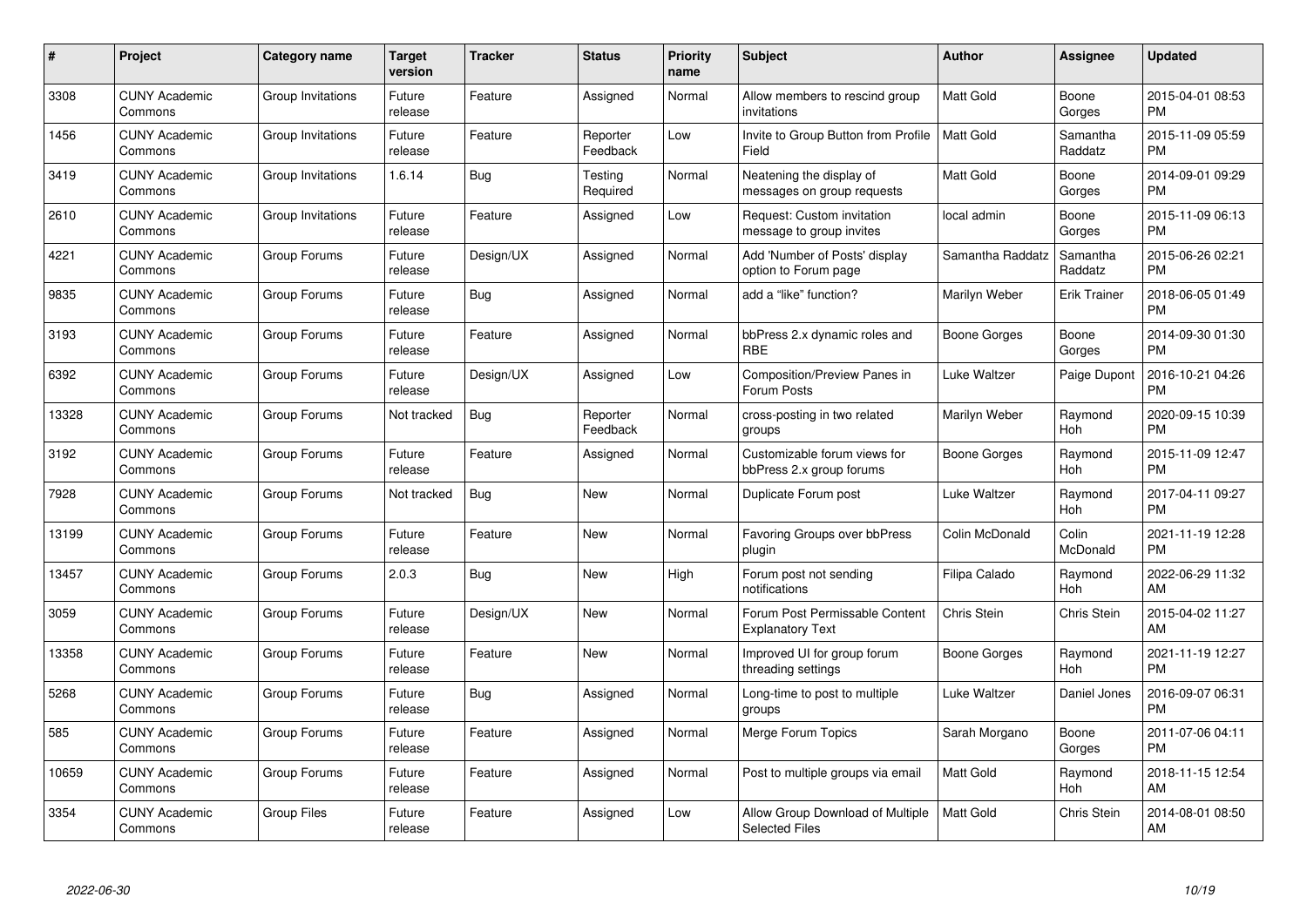| $\#$  | Project                         | <b>Category name</b> | Target<br>version | <b>Tracker</b> | <b>Status</b>        | Priority<br>name | <b>Subject</b>                                            | <b>Author</b>    | <b>Assignee</b>     | <b>Updated</b>                |
|-------|---------------------------------|----------------------|-------------------|----------------|----------------------|------------------|-----------------------------------------------------------|------------------|---------------------|-------------------------------|
| 3308  | <b>CUNY Academic</b><br>Commons | Group Invitations    | Future<br>release | Feature        | Assigned             | Normal           | Allow members to rescind group<br>invitations             | <b>Matt Gold</b> | Boone<br>Gorges     | 2015-04-01 08:53<br><b>PM</b> |
| 1456  | <b>CUNY Academic</b><br>Commons | Group Invitations    | Future<br>release | Feature        | Reporter<br>Feedback | Low              | Invite to Group Button from Profile<br>Field              | <b>Matt Gold</b> | Samantha<br>Raddatz | 2015-11-09 05:59<br><b>PM</b> |
| 3419  | <b>CUNY Academic</b><br>Commons | Group Invitations    | 1.6.14            | Bug            | Testing<br>Required  | Normal           | Neatening the display of<br>messages on group requests    | Matt Gold        | Boone<br>Gorges     | 2014-09-01 09:29<br><b>PM</b> |
| 2610  | <b>CUNY Academic</b><br>Commons | Group Invitations    | Future<br>release | Feature        | Assigned             | Low              | Request: Custom invitation<br>message to group invites    | local admin      | Boone<br>Gorges     | 2015-11-09 06:13<br><b>PM</b> |
| 4221  | <b>CUNY Academic</b><br>Commons | Group Forums         | Future<br>release | Design/UX      | Assigned             | Normal           | Add 'Number of Posts' display<br>option to Forum page     | Samantha Raddatz | Samantha<br>Raddatz | 2015-06-26 02:21<br><b>PM</b> |
| 9835  | <b>CUNY Academic</b><br>Commons | Group Forums         | Future<br>release | <b>Bug</b>     | Assigned             | Normal           | add a "like" function?                                    | Marilyn Weber    | <b>Erik Trainer</b> | 2018-06-05 01:49<br><b>PM</b> |
| 3193  | <b>CUNY Academic</b><br>Commons | Group Forums         | Future<br>release | Feature        | Assigned             | Normal           | bbPress 2.x dynamic roles and<br><b>RBE</b>               | Boone Gorges     | Boone<br>Gorges     | 2014-09-30 01:30<br><b>PM</b> |
| 6392  | <b>CUNY Academic</b><br>Commons | Group Forums         | Future<br>release | Design/UX      | Assigned             | Low              | Composition/Preview Panes in<br>Forum Posts               | Luke Waltzer     | Paige Dupont        | 2016-10-21 04:26<br><b>PM</b> |
| 13328 | <b>CUNY Academic</b><br>Commons | Group Forums         | Not tracked       | <b>Bug</b>     | Reporter<br>Feedback | Normal           | cross-posting in two related<br>groups                    | Marilyn Weber    | Raymond<br>Hoh      | 2020-09-15 10:39<br><b>PM</b> |
| 3192  | <b>CUNY Academic</b><br>Commons | Group Forums         | Future<br>release | Feature        | Assigned             | Normal           | Customizable forum views for<br>bbPress 2.x group forums  | Boone Gorges     | Raymond<br>Hoh      | 2015-11-09 12:47<br><b>PM</b> |
| 7928  | <b>CUNY Academic</b><br>Commons | Group Forums         | Not tracked       | Bug            | New                  | Normal           | Duplicate Forum post                                      | Luke Waltzer     | Raymond<br>Hoh      | 2017-04-11 09:27<br><b>PM</b> |
| 13199 | <b>CUNY Academic</b><br>Commons | Group Forums         | Future<br>release | Feature        | New                  | Normal           | Favoring Groups over bbPress<br>plugin                    | Colin McDonald   | Colin<br>McDonald   | 2021-11-19 12:28<br><b>PM</b> |
| 13457 | <b>CUNY Academic</b><br>Commons | Group Forums         | 2.0.3             | Bug            | New                  | High             | Forum post not sending<br>notifications                   | Filipa Calado    | Raymond<br>Hoh      | 2022-06-29 11:32<br>AM        |
| 3059  | <b>CUNY Academic</b><br>Commons | Group Forums         | Future<br>release | Design/UX      | New                  | Normal           | Forum Post Permissable Content<br><b>Explanatory Text</b> | Chris Stein      | <b>Chris Stein</b>  | 2015-04-02 11:27<br>AM        |
| 13358 | <b>CUNY Academic</b><br>Commons | Group Forums         | Future<br>release | Feature        | New                  | Normal           | Improved UI for group forum<br>threading settings         | Boone Gorges     | Raymond<br>Hoh      | 2021-11-19 12:27<br><b>PM</b> |
| 5268  | <b>CUNY Academic</b><br>Commons | Group Forums         | Future<br>release | Bug            | Assigned             | Normal           | Long-time to post to multiple<br>groups                   | Luke Waltzer     | Daniel Jones        | 2016-09-07 06:31<br><b>PM</b> |
| 585   | <b>CUNY Academic</b><br>Commons | Group Forums         | Future<br>release | Feature        | Assigned             | Normal           | Merge Forum Topics                                        | Sarah Morgano    | Boone<br>Gorges     | 2011-07-06 04:11<br><b>PM</b> |
| 10659 | <b>CUNY Academic</b><br>Commons | Group Forums         | Future<br>release | Feature        | Assigned             | Normal           | Post to multiple groups via email                         | <b>Matt Gold</b> | Raymond<br>Hoh      | 2018-11-15 12:54<br>AM        |
| 3354  | <b>CUNY Academic</b><br>Commons | Group Files          | Future<br>release | Feature        | Assigned             | Low              | Allow Group Download of Multiple<br><b>Selected Files</b> | <b>Matt Gold</b> | <b>Chris Stein</b>  | 2014-08-01 08:50<br>AM        |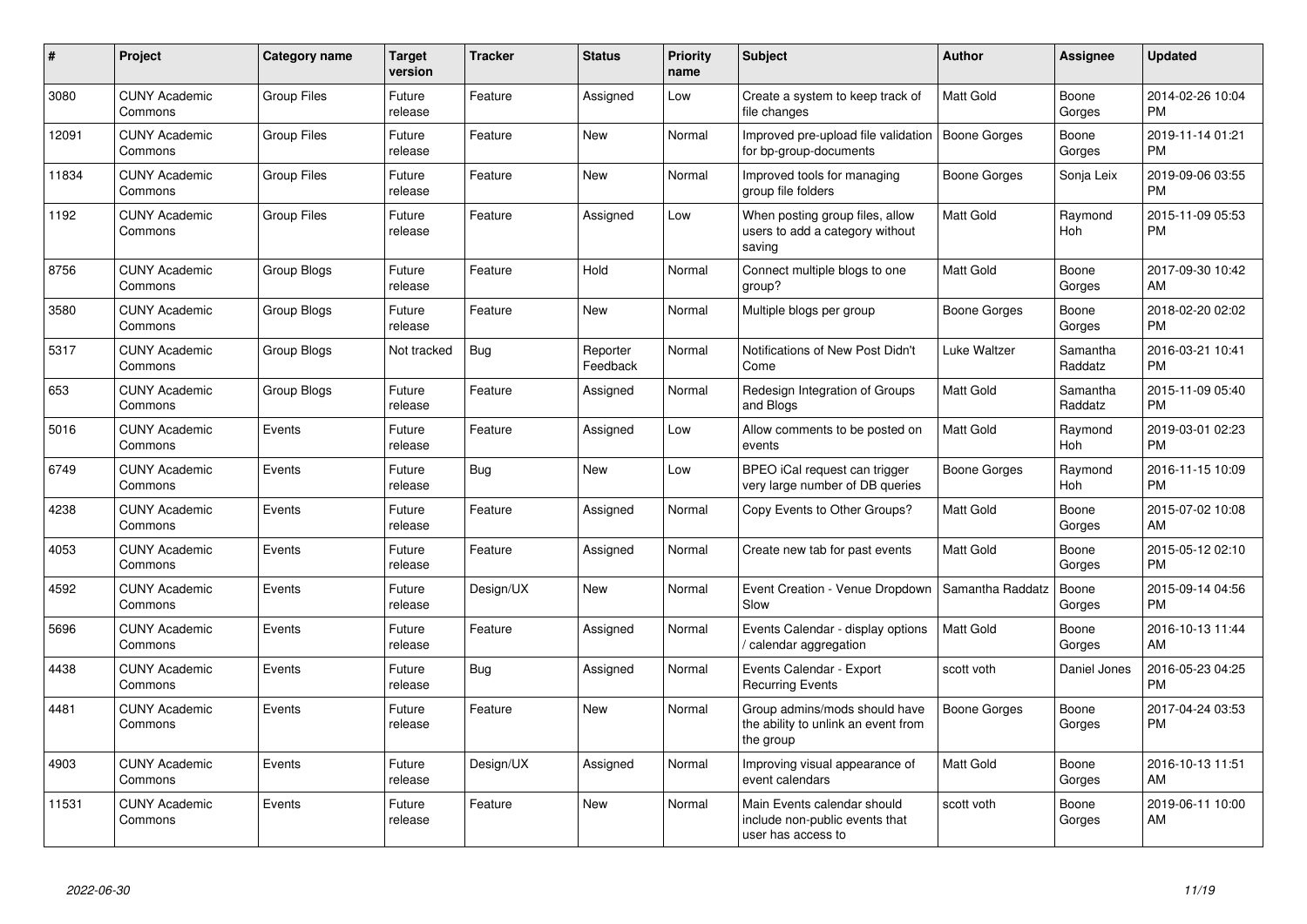| #     | Project                         | <b>Category name</b> | <b>Target</b><br>version | <b>Tracker</b> | <b>Status</b>        | <b>Priority</b><br>name | <b>Subject</b>                                                                      | <b>Author</b>    | <b>Assignee</b>     | <b>Updated</b>                |
|-------|---------------------------------|----------------------|--------------------------|----------------|----------------------|-------------------------|-------------------------------------------------------------------------------------|------------------|---------------------|-------------------------------|
| 3080  | <b>CUNY Academic</b><br>Commons | <b>Group Files</b>   | Future<br>release        | Feature        | Assigned             | Low                     | Create a system to keep track of<br>file changes                                    | <b>Matt Gold</b> | Boone<br>Gorges     | 2014-02-26 10:04<br><b>PM</b> |
| 12091 | <b>CUNY Academic</b><br>Commons | <b>Group Files</b>   | Future<br>release        | Feature        | <b>New</b>           | Normal                  | Improved pre-upload file validation<br>for bp-group-documents                       | Boone Gorges     | Boone<br>Gorges     | 2019-11-14 01:21<br><b>PM</b> |
| 11834 | <b>CUNY Academic</b><br>Commons | <b>Group Files</b>   | Future<br>release        | Feature        | New                  | Normal                  | Improved tools for managing<br>group file folders                                   | Boone Gorges     | Sonja Leix          | 2019-09-06 03:55<br><b>PM</b> |
| 1192  | <b>CUNY Academic</b><br>Commons | <b>Group Files</b>   | Future<br>release        | Feature        | Assigned             | Low                     | When posting group files, allow<br>users to add a category without<br>saving        | <b>Matt Gold</b> | Raymond<br>Hoh      | 2015-11-09 05:53<br><b>PM</b> |
| 8756  | <b>CUNY Academic</b><br>Commons | Group Blogs          | Future<br>release        | Feature        | Hold                 | Normal                  | Connect multiple blogs to one<br>group?                                             | <b>Matt Gold</b> | Boone<br>Gorges     | 2017-09-30 10:42<br>AM        |
| 3580  | <b>CUNY Academic</b><br>Commons | Group Blogs          | Future<br>release        | Feature        | <b>New</b>           | Normal                  | Multiple blogs per group                                                            | Boone Gorges     | Boone<br>Gorges     | 2018-02-20 02:02<br><b>PM</b> |
| 5317  | <b>CUNY Academic</b><br>Commons | <b>Group Blogs</b>   | Not tracked              | <b>Bug</b>     | Reporter<br>Feedback | Normal                  | Notifications of New Post Didn't<br>Come                                            | Luke Waltzer     | Samantha<br>Raddatz | 2016-03-21 10:41<br><b>PM</b> |
| 653   | <b>CUNY Academic</b><br>Commons | Group Blogs          | Future<br>release        | Feature        | Assigned             | Normal                  | Redesign Integration of Groups<br>and Blogs                                         | <b>Matt Gold</b> | Samantha<br>Raddatz | 2015-11-09 05:40<br><b>PM</b> |
| 5016  | <b>CUNY Academic</b><br>Commons | Events               | Future<br>release        | Feature        | Assigned             | Low                     | Allow comments to be posted on<br>events                                            | <b>Matt Gold</b> | Raymond<br>Hoh      | 2019-03-01 02:23<br><b>PM</b> |
| 6749  | <b>CUNY Academic</b><br>Commons | Events               | Future<br>release        | Bug            | <b>New</b>           | Low                     | BPEO iCal request can trigger<br>very large number of DB queries                    | Boone Gorges     | Raymond<br>Hoh      | 2016-11-15 10:09<br><b>PM</b> |
| 4238  | <b>CUNY Academic</b><br>Commons | Events               | Future<br>release        | Feature        | Assigned             | Normal                  | Copy Events to Other Groups?                                                        | <b>Matt Gold</b> | Boone<br>Gorges     | 2015-07-02 10:08<br>AM        |
| 4053  | <b>CUNY Academic</b><br>Commons | Events               | Future<br>release        | Feature        | Assigned             | Normal                  | Create new tab for past events                                                      | <b>Matt Gold</b> | Boone<br>Gorges     | 2015-05-12 02:10<br><b>PM</b> |
| 4592  | <b>CUNY Academic</b><br>Commons | Events               | Future<br>release        | Design/UX      | <b>New</b>           | Normal                  | Event Creation - Venue Dropdown<br>Slow                                             | Samantha Raddatz | Boone<br>Gorges     | 2015-09-14 04:56<br><b>PM</b> |
| 5696  | <b>CUNY Academic</b><br>Commons | Events               | Future<br>release        | Feature        | Assigned             | Normal                  | Events Calendar - display options<br>/ calendar aggregation                         | <b>Matt Gold</b> | Boone<br>Gorges     | 2016-10-13 11:44<br>AM        |
| 4438  | <b>CUNY Academic</b><br>Commons | Events               | Future<br>release        | Bug            | Assigned             | Normal                  | Events Calendar - Export<br><b>Recurring Events</b>                                 | scott voth       | Daniel Jones        | 2016-05-23 04:25<br><b>PM</b> |
| 4481  | <b>CUNY Academic</b><br>Commons | Events               | Future<br>release        | Feature        | New                  | Normal                  | Group admins/mods should have<br>the ability to unlink an event from<br>the group   | Boone Gorges     | Boone<br>Gorges     | 2017-04-24 03:53<br><b>PM</b> |
| 4903  | <b>CUNY Academic</b><br>Commons | Events               | Future<br>release        | Design/UX      | Assigned             | Normal                  | Improving visual appearance of<br>event calendars                                   | <b>Matt Gold</b> | Boone<br>Gorges     | 2016-10-13 11:51<br>AM        |
| 11531 | <b>CUNY Academic</b><br>Commons | Events               | Future<br>release        | Feature        | <b>New</b>           | Normal                  | Main Events calendar should<br>include non-public events that<br>user has access to | scott voth       | Boone<br>Gorges     | 2019-06-11 10:00<br>AM        |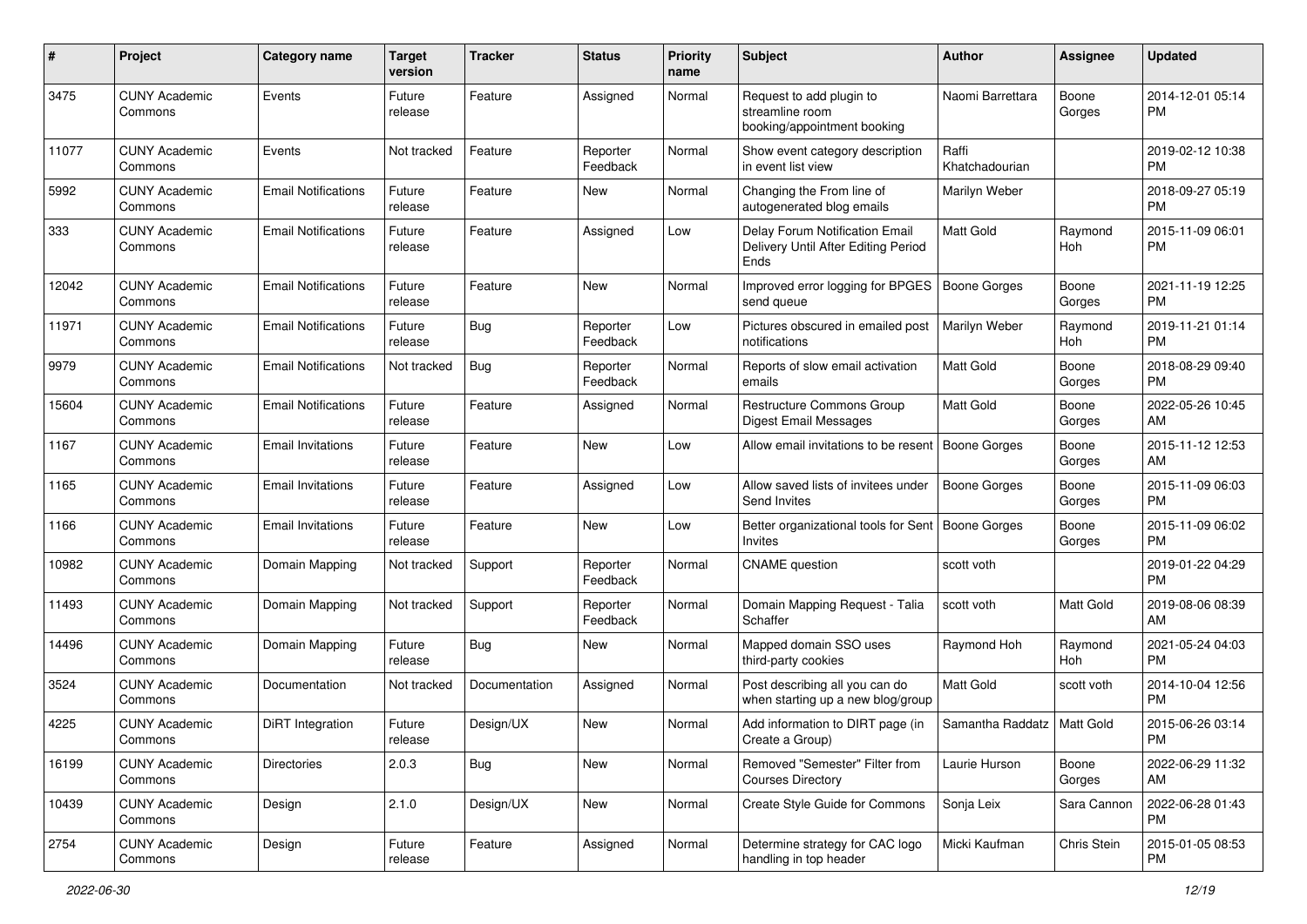| #     | Project                         | <b>Category name</b>       | <b>Target</b><br>version | <b>Tracker</b> | <b>Status</b>        | <b>Priority</b><br>name | <b>Subject</b>                                                                | Author                  | <b>Assignee</b>  | <b>Updated</b>                |
|-------|---------------------------------|----------------------------|--------------------------|----------------|----------------------|-------------------------|-------------------------------------------------------------------------------|-------------------------|------------------|-------------------------------|
| 3475  | <b>CUNY Academic</b><br>Commons | Events                     | Future<br>release        | Feature        | Assigned             | Normal                  | Request to add plugin to<br>streamline room<br>booking/appointment booking    | Naomi Barrettara        | Boone<br>Gorges  | 2014-12-01 05:14<br>PM        |
| 11077 | <b>CUNY Academic</b><br>Commons | Events                     | Not tracked              | Feature        | Reporter<br>Feedback | Normal                  | Show event category description<br>in event list view                         | Raffi<br>Khatchadourian |                  | 2019-02-12 10:38<br>PM        |
| 5992  | <b>CUNY Academic</b><br>Commons | <b>Email Notifications</b> | Future<br>release        | Feature        | New                  | Normal                  | Changing the From line of<br>autogenerated blog emails                        | Marilyn Weber           |                  | 2018-09-27 05:19<br><b>PM</b> |
| 333   | <b>CUNY Academic</b><br>Commons | <b>Email Notifications</b> | Future<br>release        | Feature        | Assigned             | Low                     | Delay Forum Notification Email<br>Delivery Until After Editing Period<br>Ends | Matt Gold               | Raymond<br>Hoh   | 2015-11-09 06:01<br><b>PM</b> |
| 12042 | <b>CUNY Academic</b><br>Commons | <b>Email Notifications</b> | Future<br>release        | Feature        | <b>New</b>           | Normal                  | Improved error logging for BPGES<br>send queue                                | <b>Boone Gorges</b>     | Boone<br>Gorges  | 2021-11-19 12:25<br><b>PM</b> |
| 11971 | <b>CUNY Academic</b><br>Commons | <b>Email Notifications</b> | Future<br>release        | Bug            | Reporter<br>Feedback | Low                     | Pictures obscured in emailed post<br>notifications                            | Marilyn Weber           | Raymond<br>Hoh   | 2019-11-21 01:14<br><b>PM</b> |
| 9979  | <b>CUNY Academic</b><br>Commons | <b>Email Notifications</b> | Not tracked              | Bug            | Reporter<br>Feedback | Normal                  | Reports of slow email activation<br>emails                                    | Matt Gold               | Boone<br>Gorges  | 2018-08-29 09:40<br><b>PM</b> |
| 15604 | <b>CUNY Academic</b><br>Commons | <b>Email Notifications</b> | Future<br>release        | Feature        | Assigned             | Normal                  | <b>Restructure Commons Group</b><br>Digest Email Messages                     | Matt Gold               | Boone<br>Gorges  | 2022-05-26 10:45<br>AM        |
| 1167  | <b>CUNY Academic</b><br>Commons | Email Invitations          | Future<br>release        | Feature        | New                  | Low                     | Allow email invitations to be resent                                          | Boone Gorges            | Boone<br>Gorges  | 2015-11-12 12:53<br>AM        |
| 1165  | <b>CUNY Academic</b><br>Commons | <b>Email Invitations</b>   | Future<br>release        | Feature        | Assigned             | Low                     | Allow saved lists of invitees under<br>Send Invites                           | <b>Boone Gorges</b>     | Boone<br>Gorges  | 2015-11-09 06:03<br>PM        |
| 1166  | <b>CUNY Academic</b><br>Commons | <b>Email Invitations</b>   | Future<br>release        | Feature        | New                  | Low                     | Better organizational tools for Sent   Boone Gorges<br><b>Invites</b>         |                         | Boone<br>Gorges  | 2015-11-09 06:02<br><b>PM</b> |
| 10982 | <b>CUNY Academic</b><br>Commons | Domain Mapping             | Not tracked              | Support        | Reporter<br>Feedback | Normal                  | <b>CNAME</b> question                                                         | scott voth              |                  | 2019-01-22 04:29<br><b>PM</b> |
| 11493 | <b>CUNY Academic</b><br>Commons | Domain Mapping             | Not tracked              | Support        | Reporter<br>Feedback | Normal                  | Domain Mapping Request - Talia<br>Schaffer                                    | scott voth              | Matt Gold        | 2019-08-06 08:39<br>AM        |
| 14496 | <b>CUNY Academic</b><br>Commons | Domain Mapping             | Future<br>release        | Bug            | New                  | Normal                  | Mapped domain SSO uses<br>third-party cookies                                 | Raymond Hoh             | Raymond<br>Hoh   | 2021-05-24 04:03<br><b>PM</b> |
| 3524  | <b>CUNY Academic</b><br>Commons | Documentation              | Not tracked              | Documentation  | Assigned             | Normal                  | Post describing all you can do<br>when starting up a new blog/group           | Matt Gold               | scott voth       | 2014-10-04 12:56<br><b>PM</b> |
| 4225  | <b>CUNY Academic</b><br>Commons | DiRT Integration           | Future<br>release        | Design/UX      | <b>New</b>           | Normal                  | Add information to DIRT page (in<br>Create a Group)                           | Samantha Raddatz        | <b>Matt Gold</b> | 2015-06-26 03:14<br>PM        |
| 16199 | <b>CUNY Academic</b><br>Commons | <b>Directories</b>         | 2.0.3                    | <b>Bug</b>     | New                  | Normal                  | Removed "Semester" Filter from<br><b>Courses Directory</b>                    | Laurie Hurson           | Boone<br>Gorges  | 2022-06-29 11:32<br>AM        |
| 10439 | <b>CUNY Academic</b><br>Commons | Design                     | 2.1.0                    | Design/UX      | New                  | Normal                  | Create Style Guide for Commons                                                | Sonja Leix              | Sara Cannon      | 2022-06-28 01:43<br><b>PM</b> |
| 2754  | <b>CUNY Academic</b><br>Commons | Design                     | Future<br>release        | Feature        | Assigned             | Normal                  | Determine strategy for CAC logo<br>handling in top header                     | Micki Kaufman           | Chris Stein      | 2015-01-05 08:53<br><b>PM</b> |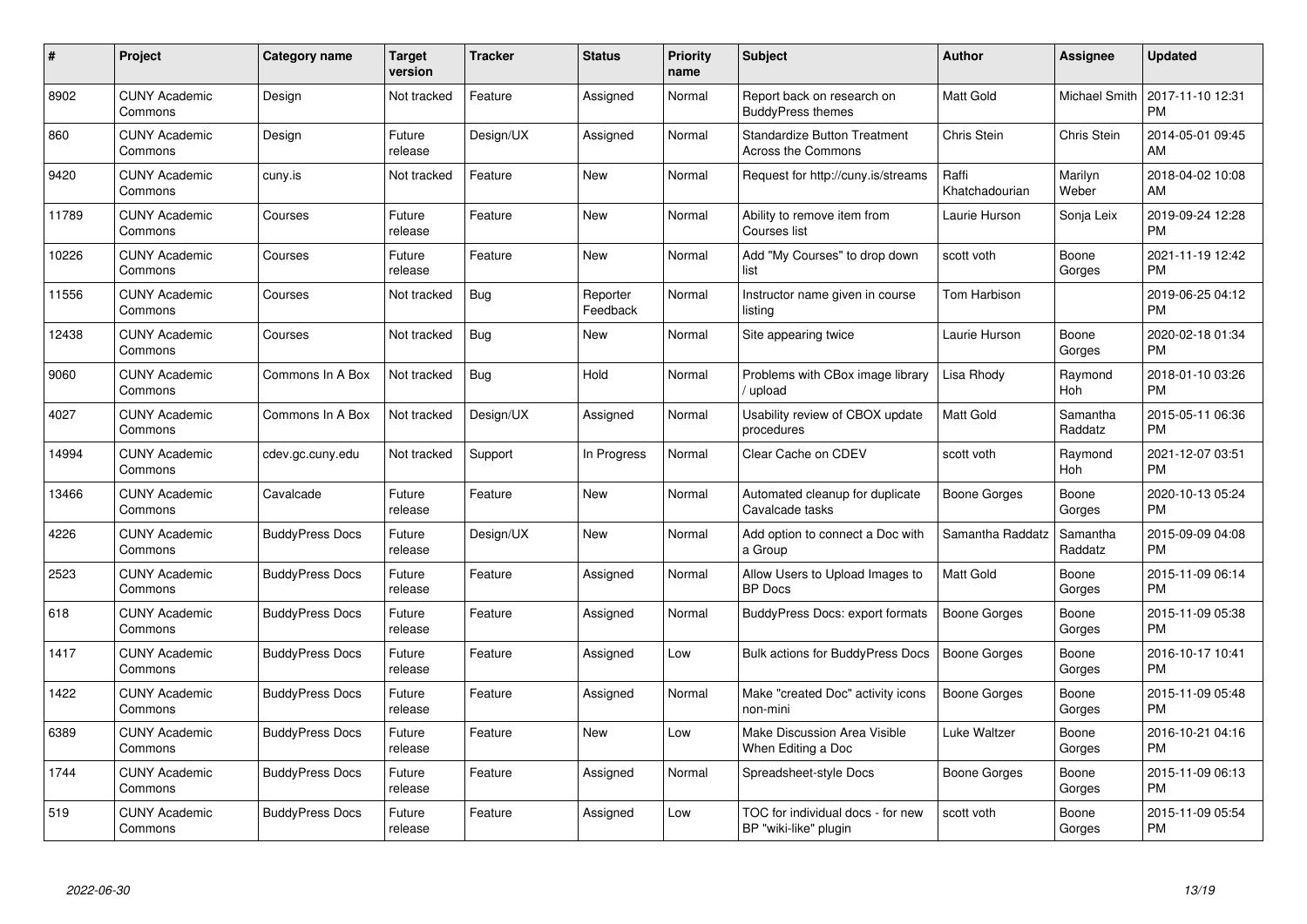| $\#$  | Project                         | <b>Category name</b>   | Target<br>version | <b>Tracker</b> | <b>Status</b>        | Priority<br>name | <b>Subject</b>                                                   | <b>Author</b>           | <b>Assignee</b>     | <b>Updated</b>                |
|-------|---------------------------------|------------------------|-------------------|----------------|----------------------|------------------|------------------------------------------------------------------|-------------------------|---------------------|-------------------------------|
| 8902  | <b>CUNY Academic</b><br>Commons | Design                 | Not tracked       | Feature        | Assigned             | Normal           | Report back on research on<br><b>BuddyPress themes</b>           | <b>Matt Gold</b>        | Michael Smith       | 2017-11-10 12:31<br><b>PM</b> |
| 860   | <b>CUNY Academic</b><br>Commons | Design                 | Future<br>release | Design/UX      | Assigned             | Normal           | <b>Standardize Button Treatment</b><br><b>Across the Commons</b> | Chris Stein             | Chris Stein         | 2014-05-01 09:45<br>AM        |
| 9420  | <b>CUNY Academic</b><br>Commons | cuny.is                | Not tracked       | Feature        | <b>New</b>           | Normal           | Request for http://cuny.is/streams                               | Raffi<br>Khatchadourian | Marilyn<br>Weber    | 2018-04-02 10:08<br>AM        |
| 11789 | <b>CUNY Academic</b><br>Commons | Courses                | Future<br>release | Feature        | <b>New</b>           | Normal           | Ability to remove item from<br>Courses list                      | Laurie Hurson           | Sonja Leix          | 2019-09-24 12:28<br><b>PM</b> |
| 10226 | <b>CUNY Academic</b><br>Commons | Courses                | Future<br>release | Feature        | <b>New</b>           | Normal           | Add "My Courses" to drop down<br>list                            | scott voth              | Boone<br>Gorges     | 2021-11-19 12:42<br><b>PM</b> |
| 11556 | <b>CUNY Academic</b><br>Commons | Courses                | Not tracked       | Bug            | Reporter<br>Feedback | Normal           | Instructor name given in course<br>listing                       | Tom Harbison            |                     | 2019-06-25 04:12<br><b>PM</b> |
| 12438 | <b>CUNY Academic</b><br>Commons | Courses                | Not tracked       | Bug            | <b>New</b>           | Normal           | Site appearing twice                                             | Laurie Hurson           | Boone<br>Gorges     | 2020-02-18 01:34<br><b>PM</b> |
| 9060  | <b>CUNY Academic</b><br>Commons | Commons In A Box       | Not tracked       | Bug            | Hold                 | Normal           | Problems with CBox image library<br>/ upload                     | Lisa Rhody              | Raymond<br>Hoh      | 2018-01-10 03:26<br><b>PM</b> |
| 4027  | <b>CUNY Academic</b><br>Commons | Commons In A Box       | Not tracked       | Design/UX      | Assigned             | Normal           | Usability review of CBOX update<br>procedures                    | Matt Gold               | Samantha<br>Raddatz | 2015-05-11 06:36<br><b>PM</b> |
| 14994 | <b>CUNY Academic</b><br>Commons | cdev.gc.cuny.edu       | Not tracked       | Support        | In Progress          | Normal           | Clear Cache on CDEV                                              | scott voth              | Raymond<br>Hoh      | 2021-12-07 03:51<br><b>PM</b> |
| 13466 | <b>CUNY Academic</b><br>Commons | Cavalcade              | Future<br>release | Feature        | New                  | Normal           | Automated cleanup for duplicate<br>Cavalcade tasks               | Boone Gorges            | Boone<br>Gorges     | 2020-10-13 05:24<br><b>PM</b> |
| 4226  | <b>CUNY Academic</b><br>Commons | <b>BuddyPress Docs</b> | Future<br>release | Design/UX      | New                  | Normal           | Add option to connect a Doc with<br>a Group                      | Samantha Raddatz        | Samantha<br>Raddatz | 2015-09-09 04:08<br><b>PM</b> |
| 2523  | <b>CUNY Academic</b><br>Commons | <b>BuddyPress Docs</b> | Future<br>release | Feature        | Assigned             | Normal           | Allow Users to Upload Images to<br><b>BP</b> Docs                | Matt Gold               | Boone<br>Gorges     | 2015-11-09 06:14<br><b>PM</b> |
| 618   | <b>CUNY Academic</b><br>Commons | <b>BuddyPress Docs</b> | Future<br>release | Feature        | Assigned             | Normal           | BuddyPress Docs: export formats                                  | <b>Boone Gorges</b>     | Boone<br>Gorges     | 2015-11-09 05:38<br><b>PM</b> |
| 1417  | <b>CUNY Academic</b><br>Commons | <b>BuddyPress Docs</b> | Future<br>release | Feature        | Assigned             | Low              | <b>Bulk actions for BuddyPress Docs</b>                          | <b>Boone Gorges</b>     | Boone<br>Gorges     | 2016-10-17 10:41<br><b>PM</b> |
| 1422  | <b>CUNY Academic</b><br>Commons | <b>BuddyPress Docs</b> | Future<br>release | Feature        | Assigned             | Normal           | Make "created Doc" activity icons<br>non-mini                    | <b>Boone Gorges</b>     | Boone<br>Gorges     | 2015-11-09 05:48<br><b>PM</b> |
| 6389  | <b>CUNY Academic</b><br>Commons | <b>BuddyPress Docs</b> | Future<br>release | Feature        | New                  | Low              | <b>Make Discussion Area Visible</b><br>When Editing a Doc        | Luke Waltzer            | Boone<br>Gorges     | 2016-10-21 04:16<br><b>PM</b> |
| 1744  | <b>CUNY Academic</b><br>Commons | <b>BuddyPress Docs</b> | Future<br>release | Feature        | Assigned             | Normal           | Spreadsheet-style Docs                                           | Boone Gorges            | Boone<br>Gorges     | 2015-11-09 06:13<br><b>PM</b> |
| 519   | <b>CUNY Academic</b><br>Commons | <b>BuddyPress Docs</b> | Future<br>release | Feature        | Assigned             | Low              | TOC for individual docs - for new<br>BP "wiki-like" plugin       | scott voth              | Boone<br>Gorges     | 2015-11-09 05:54<br><b>PM</b> |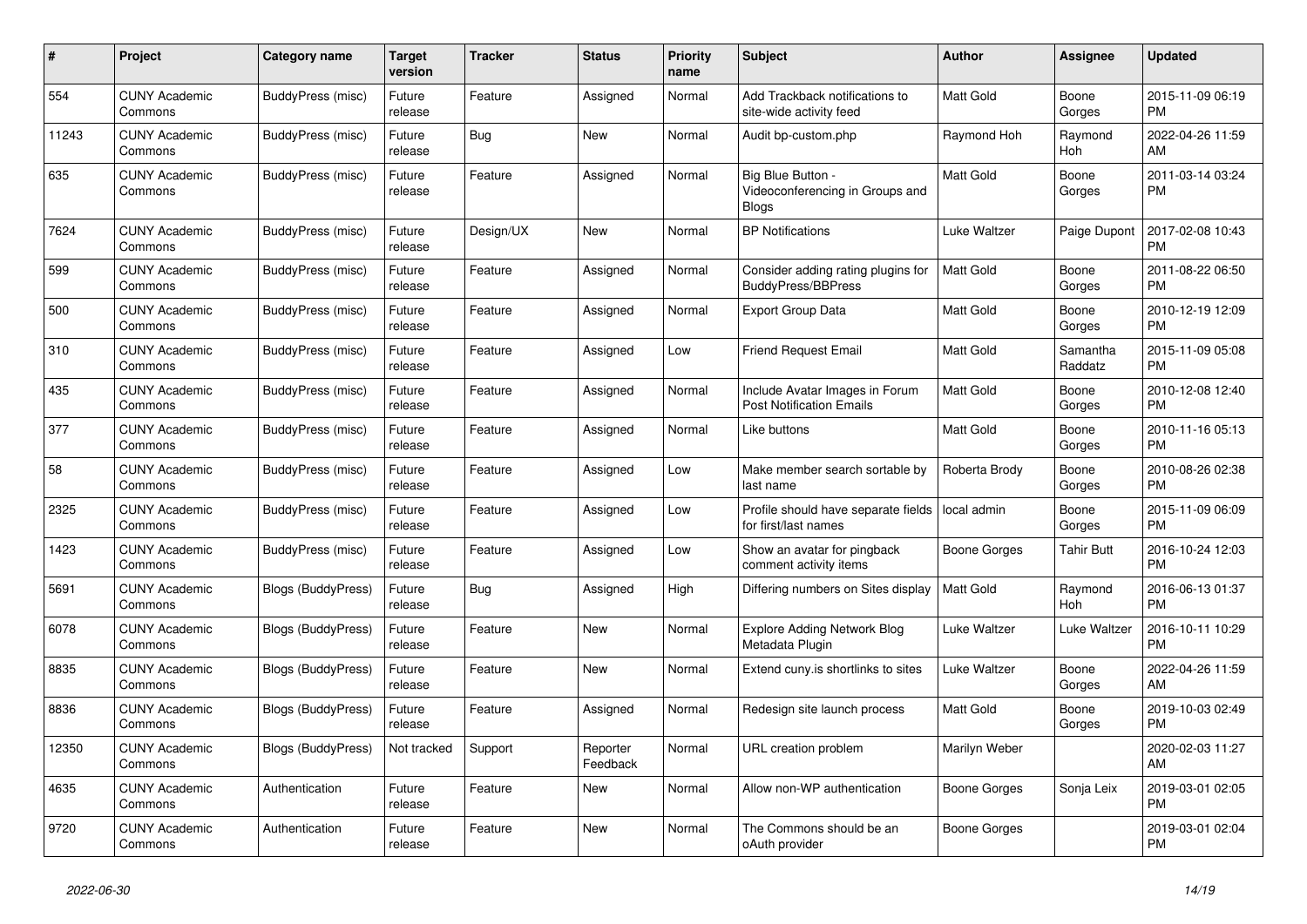| $\#$  | <b>Project</b>                  | <b>Category name</b>      | <b>Target</b><br>version | <b>Tracker</b> | <b>Status</b>        | <b>Priority</b><br>name | <b>Subject</b>                                                    | <b>Author</b>    | Assignee            | <b>Updated</b>                |
|-------|---------------------------------|---------------------------|--------------------------|----------------|----------------------|-------------------------|-------------------------------------------------------------------|------------------|---------------------|-------------------------------|
| 554   | <b>CUNY Academic</b><br>Commons | <b>BuddyPress (misc)</b>  | Future<br>release        | Feature        | Assigned             | Normal                  | Add Trackback notifications to<br>site-wide activity feed         | <b>Matt Gold</b> | Boone<br>Gorges     | 2015-11-09 06:19<br><b>PM</b> |
| 11243 | <b>CUNY Academic</b><br>Commons | BuddyPress (misc)         | Future<br>release        | Bug            | New                  | Normal                  | Audit bp-custom.php                                               | Raymond Hoh      | Raymond<br>Hoh      | 2022-04-26 11:59<br>AM        |
| 635   | CUNY Academic<br>Commons        | BuddyPress (misc)         | Future<br>release        | Feature        | Assigned             | Normal                  | Big Blue Button -<br>Videoconferencing in Groups and<br>Blogs     | Matt Gold        | Boone<br>Gorges     | 2011-03-14 03:24<br><b>PM</b> |
| 7624  | <b>CUNY Academic</b><br>Commons | BuddyPress (misc)         | Future<br>release        | Design/UX      | <b>New</b>           | Normal                  | <b>BP Notifications</b>                                           | Luke Waltzer     | Paige Dupont        | 2017-02-08 10:43<br><b>PM</b> |
| 599   | <b>CUNY Academic</b><br>Commons | BuddyPress (misc)         | Future<br>release        | Feature        | Assigned             | Normal                  | Consider adding rating plugins for<br><b>BuddyPress/BBPress</b>   | <b>Matt Gold</b> | Boone<br>Gorges     | 2011-08-22 06:50<br><b>PM</b> |
| 500   | <b>CUNY Academic</b><br>Commons | BuddyPress (misc)         | Future<br>release        | Feature        | Assigned             | Normal                  | <b>Export Group Data</b>                                          | <b>Matt Gold</b> | Boone<br>Gorges     | 2010-12-19 12:09<br><b>PM</b> |
| 310   | <b>CUNY Academic</b><br>Commons | BuddyPress (misc)         | Future<br>release        | Feature        | Assigned             | Low                     | <b>Friend Request Email</b>                                       | Matt Gold        | Samantha<br>Raddatz | 2015-11-09 05:08<br><b>PM</b> |
| 435   | <b>CUNY Academic</b><br>Commons | BuddyPress (misc)         | Future<br>release        | Feature        | Assigned             | Normal                  | Include Avatar Images in Forum<br><b>Post Notification Emails</b> | <b>Matt Gold</b> | Boone<br>Gorges     | 2010-12-08 12:40<br><b>PM</b> |
| 377   | <b>CUNY Academic</b><br>Commons | BuddyPress (misc)         | Future<br>release        | Feature        | Assigned             | Normal                  | Like buttons                                                      | Matt Gold        | Boone<br>Gorges     | 2010-11-16 05:13<br><b>PM</b> |
| 58    | <b>CUNY Academic</b><br>Commons | <b>BuddyPress</b> (misc)  | Future<br>release        | Feature        | Assigned             | Low                     | Make member search sortable by<br>last name                       | Roberta Brody    | Boone<br>Gorges     | 2010-08-26 02:38<br><b>PM</b> |
| 2325  | <b>CUNY Academic</b><br>Commons | BuddyPress (misc)         | Future<br>release        | Feature        | Assigned             | Low                     | Profile should have separate fields<br>for first/last names       | local admin      | Boone<br>Gorges     | 2015-11-09 06:09<br><b>PM</b> |
| 1423  | <b>CUNY Academic</b><br>Commons | BuddyPress (misc)         | Future<br>release        | Feature        | Assigned             | Low                     | Show an avatar for pingback<br>comment activity items             | Boone Gorges     | Tahir Butt          | 2016-10-24 12:03<br><b>PM</b> |
| 5691  | <b>CUNY Academic</b><br>Commons | <b>Blogs (BuddyPress)</b> | Future<br>release        | Bug            | Assigned             | High                    | Differing numbers on Sites display                                | <b>Matt Gold</b> | Raymond<br>Hoh      | 2016-06-13 01:37<br><b>PM</b> |
| 6078  | <b>CUNY Academic</b><br>Commons | <b>Blogs (BuddyPress)</b> | Future<br>release        | Feature        | New                  | Normal                  | Explore Adding Network Blog<br>Metadata Plugin                    | Luke Waltzer     | Luke Waltzer        | 2016-10-11 10:29<br><b>PM</b> |
| 8835  | <b>CUNY Academic</b><br>Commons | <b>Blogs (BuddyPress)</b> | Future<br>release        | Feature        | New                  | Normal                  | Extend cuny.is shortlinks to sites                                | Luke Waltzer     | Boone<br>Gorges     | 2022-04-26 11:59<br>AM        |
| 8836  | <b>CUNY Academic</b><br>Commons | <b>Blogs (BuddyPress)</b> | Future<br>release        | Feature        | Assigned             | Normal                  | Redesign site launch process                                      | <b>Matt Gold</b> | Boone<br>Gorges     | 2019-10-03 02:49<br><b>PM</b> |
| 12350 | <b>CUNY Academic</b><br>Commons | <b>Blogs (BuddyPress)</b> | Not tracked              | Support        | Reporter<br>Feedback | Normal                  | URL creation problem                                              | Marilyn Weber    |                     | 2020-02-03 11:27<br>AM        |
| 4635  | <b>CUNY Academic</b><br>Commons | Authentication            | Future<br>release        | Feature        | New                  | Normal                  | Allow non-WP authentication                                       | Boone Gorges     | Sonja Leix          | 2019-03-01 02:05<br><b>PM</b> |
| 9720  | <b>CUNY Academic</b><br>Commons | Authentication            | Future<br>release        | Feature        | <b>New</b>           | Normal                  | The Commons should be an<br>oAuth provider                        | Boone Gorges     |                     | 2019-03-01 02:04<br><b>PM</b> |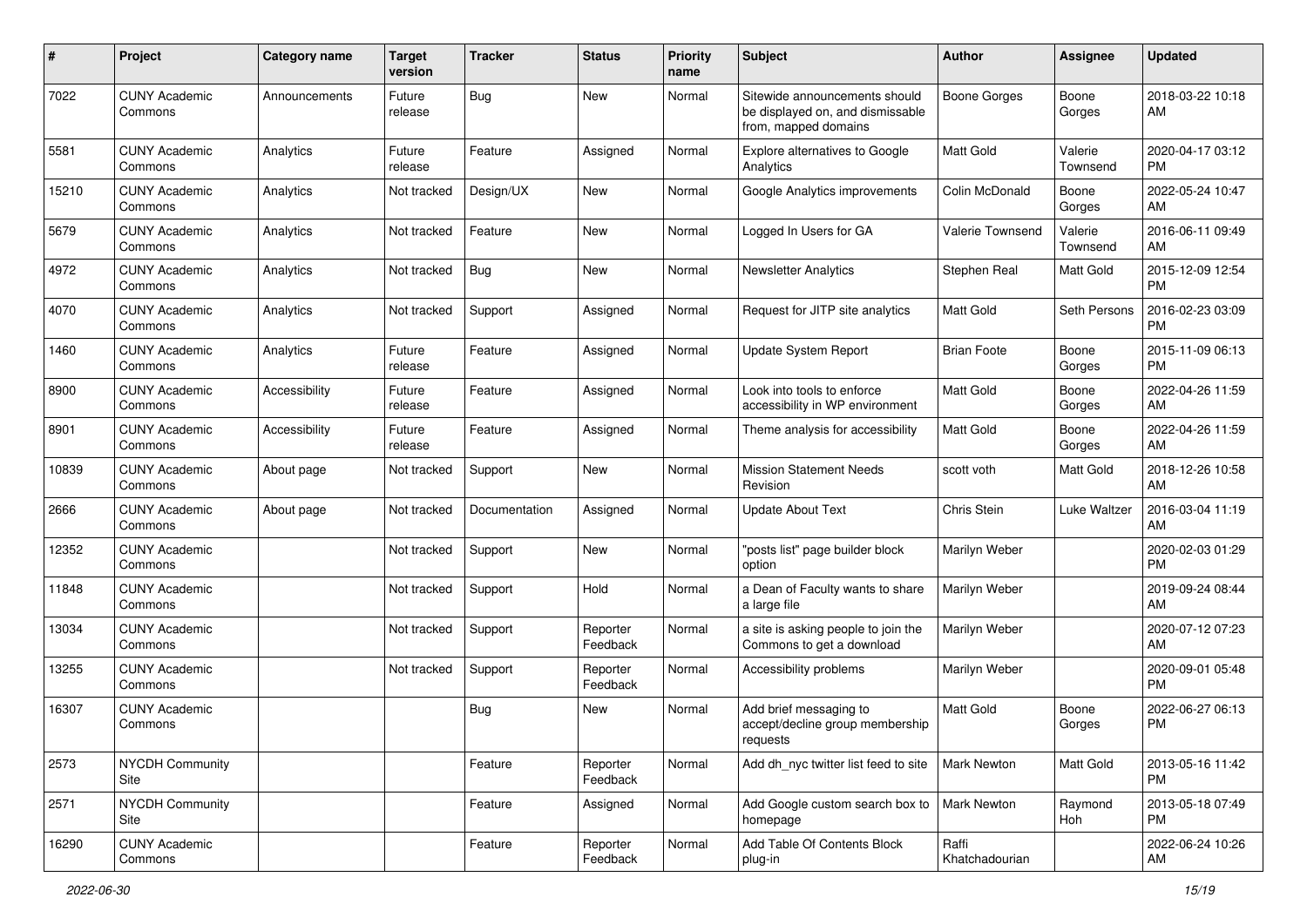| #     | Project                         | <b>Category name</b> | <b>Target</b><br>version | <b>Tracker</b> | <b>Status</b>        | Priority<br>name | <b>Subject</b>                                                                            | Author                  | <b>Assignee</b>     | <b>Updated</b>                |
|-------|---------------------------------|----------------------|--------------------------|----------------|----------------------|------------------|-------------------------------------------------------------------------------------------|-------------------------|---------------------|-------------------------------|
| 7022  | <b>CUNY Academic</b><br>Commons | Announcements        | Future<br>release        | <b>Bug</b>     | <b>New</b>           | Normal           | Sitewide announcements should<br>be displayed on, and dismissable<br>from, mapped domains | <b>Boone Gorges</b>     | Boone<br>Gorges     | 2018-03-22 10:18<br>AM        |
| 5581  | <b>CUNY Academic</b><br>Commons | Analytics            | Future<br>release        | Feature        | Assigned             | Normal           | Explore alternatives to Google<br>Analytics                                               | <b>Matt Gold</b>        | Valerie<br>Townsend | 2020-04-17 03:12<br>PM.       |
| 15210 | <b>CUNY Academic</b><br>Commons | Analytics            | Not tracked              | Design/UX      | New                  | Normal           | Google Analytics improvements                                                             | Colin McDonald          | Boone<br>Gorges     | 2022-05-24 10:47<br>AM        |
| 5679  | <b>CUNY Academic</b><br>Commons | Analytics            | Not tracked              | Feature        | <b>New</b>           | Normal           | Logged In Users for GA                                                                    | Valerie Townsend        | Valerie<br>Townsend | 2016-06-11 09:49<br>AM        |
| 4972  | <b>CUNY Academic</b><br>Commons | Analytics            | Not tracked              | Bug            | <b>New</b>           | Normal           | <b>Newsletter Analytics</b>                                                               | Stephen Real            | Matt Gold           | 2015-12-09 12:54<br><b>PM</b> |
| 4070  | <b>CUNY Academic</b><br>Commons | Analytics            | Not tracked              | Support        | Assigned             | Normal           | Request for JITP site analytics                                                           | <b>Matt Gold</b>        | Seth Persons        | 2016-02-23 03:09<br><b>PM</b> |
| 1460  | <b>CUNY Academic</b><br>Commons | Analytics            | Future<br>release        | Feature        | Assigned             | Normal           | Update System Report                                                                      | <b>Brian Foote</b>      | Boone<br>Gorges     | 2015-11-09 06:13<br><b>PM</b> |
| 8900  | <b>CUNY Academic</b><br>Commons | Accessibility        | Future<br>release        | Feature        | Assigned             | Normal           | Look into tools to enforce<br>accessibility in WP environment                             | Matt Gold               | Boone<br>Gorges     | 2022-04-26 11:59<br>AM        |
| 8901  | <b>CUNY Academic</b><br>Commons | Accessibility        | Future<br>release        | Feature        | Assigned             | Normal           | Theme analysis for accessibility                                                          | <b>Matt Gold</b>        | Boone<br>Gorges     | 2022-04-26 11:59<br>AM        |
| 10839 | <b>CUNY Academic</b><br>Commons | About page           | Not tracked              | Support        | New                  | Normal           | <b>Mission Statement Needs</b><br>Revision                                                | scott voth              | Matt Gold           | 2018-12-26 10:58<br>AM        |
| 2666  | <b>CUNY Academic</b><br>Commons | About page           | Not tracked              | Documentation  | Assigned             | Normal           | <b>Update About Text</b>                                                                  | Chris Stein             | Luke Waltzer        | 2016-03-04 11:19<br>AM        |
| 12352 | <b>CUNY Academic</b><br>Commons |                      | Not tracked              | Support        | <b>New</b>           | Normal           | "posts list" page builder block<br>option                                                 | Marilyn Weber           |                     | 2020-02-03 01:29<br><b>PM</b> |
| 11848 | <b>CUNY Academic</b><br>Commons |                      | Not tracked              | Support        | Hold                 | Normal           | a Dean of Faculty wants to share<br>a large file                                          | Marilyn Weber           |                     | 2019-09-24 08:44<br>AM        |
| 13034 | <b>CUNY Academic</b><br>Commons |                      | Not tracked              | Support        | Reporter<br>Feedback | Normal           | a site is asking people to join the<br>Commons to get a download                          | Marilyn Weber           |                     | 2020-07-12 07:23<br>AM        |
| 13255 | <b>CUNY Academic</b><br>Commons |                      | Not tracked              | Support        | Reporter<br>Feedback | Normal           | Accessibility problems                                                                    | Marilyn Weber           |                     | 2020-09-01 05:48<br><b>PM</b> |
| 16307 | <b>CUNY Academic</b><br>Commons |                      |                          | Bug            | New                  | Normal           | Add brief messaging to<br>accept/decline group membership<br>requests                     | <b>Matt Gold</b>        | Boone<br>Gorges     | 2022-06-27 06:13<br><b>PM</b> |
| 2573  | <b>NYCDH Community</b><br>Site  |                      |                          | Feature        | Reporter<br>Feedback | Normal           | Add dh nyc twitter list feed to site                                                      | <b>Mark Newton</b>      | Matt Gold           | 2013-05-16 11:42<br><b>PM</b> |
| 2571  | NYCDH Community<br>Site         |                      |                          | Feature        | Assigned             | Normal           | Add Google custom search box to<br>homepage                                               | Mark Newton             | Raymond<br>Hoh      | 2013-05-18 07:49<br><b>PM</b> |
| 16290 | <b>CUNY Academic</b><br>Commons |                      |                          | Feature        | Reporter<br>Feedback | Normal           | Add Table Of Contents Block<br>plug-in                                                    | Raffi<br>Khatchadourian |                     | 2022-06-24 10:26<br>AM        |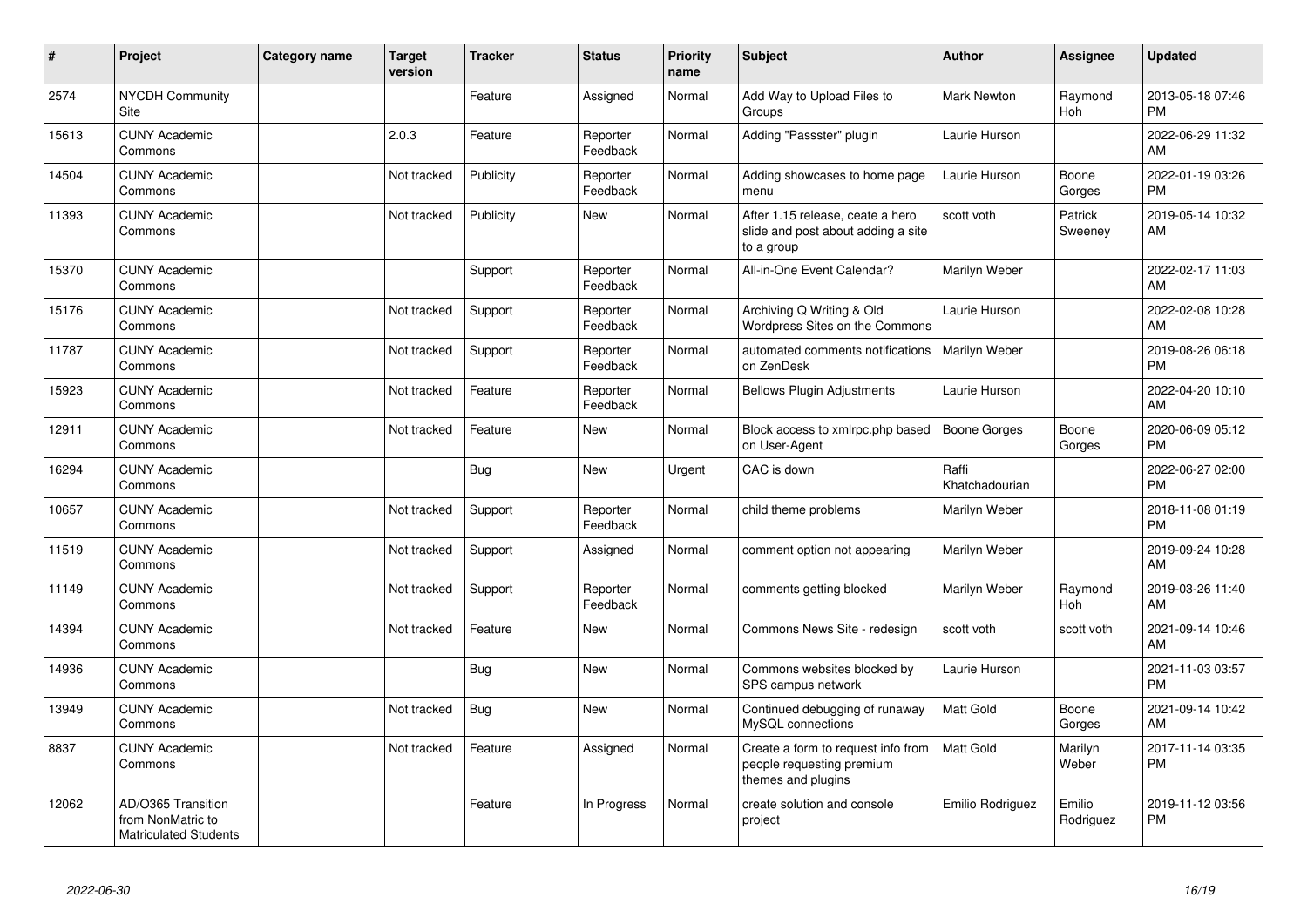| #     | Project                                                                 | <b>Category name</b> | <b>Target</b><br>version | <b>Tracker</b> | <b>Status</b>        | <b>Priority</b><br>name | <b>Subject</b>                                                                        | <b>Author</b>           | Assignee            | <b>Updated</b>                |
|-------|-------------------------------------------------------------------------|----------------------|--------------------------|----------------|----------------------|-------------------------|---------------------------------------------------------------------------------------|-------------------------|---------------------|-------------------------------|
| 2574  | <b>NYCDH Community</b><br>Site                                          |                      |                          | Feature        | Assigned             | Normal                  | Add Way to Upload Files to<br>Groups                                                  | <b>Mark Newton</b>      | Raymond<br>Hoh      | 2013-05-18 07:46<br><b>PM</b> |
| 15613 | <b>CUNY Academic</b><br>Commons                                         |                      | 2.0.3                    | Feature        | Reporter<br>Feedback | Normal                  | Adding "Passster" plugin                                                              | Laurie Hurson           |                     | 2022-06-29 11:32<br>AM        |
| 14504 | <b>CUNY Academic</b><br>Commons                                         |                      | Not tracked              | Publicity      | Reporter<br>Feedback | Normal                  | Adding showcases to home page<br>menu                                                 | Laurie Hurson           | Boone<br>Gorges     | 2022-01-19 03:26<br><b>PM</b> |
| 11393 | <b>CUNY Academic</b><br>Commons                                         |                      | Not tracked              | Publicity      | <b>New</b>           | Normal                  | After 1.15 release, ceate a hero<br>slide and post about adding a site<br>to a group  | scott voth              | Patrick<br>Sweeney  | 2019-05-14 10:32<br>AM        |
| 15370 | <b>CUNY Academic</b><br>Commons                                         |                      |                          | Support        | Reporter<br>Feedback | Normal                  | All-in-One Event Calendar?                                                            | Marilyn Weber           |                     | 2022-02-17 11:03<br><b>AM</b> |
| 15176 | <b>CUNY Academic</b><br>Commons                                         |                      | Not tracked              | Support        | Reporter<br>Feedback | Normal                  | Archiving Q Writing & Old<br>Wordpress Sites on the Commons                           | Laurie Hurson           |                     | 2022-02-08 10:28<br><b>AM</b> |
| 11787 | <b>CUNY Academic</b><br>Commons                                         |                      | Not tracked              | Support        | Reporter<br>Feedback | Normal                  | automated comments notifications<br>on ZenDesk                                        | Marilyn Weber           |                     | 2019-08-26 06:18<br><b>PM</b> |
| 15923 | <b>CUNY Academic</b><br>Commons                                         |                      | Not tracked              | Feature        | Reporter<br>Feedback | Normal                  | <b>Bellows Plugin Adjustments</b>                                                     | Laurie Hurson           |                     | 2022-04-20 10:10<br>AM        |
| 12911 | <b>CUNY Academic</b><br>Commons                                         |                      | Not tracked              | Feature        | <b>New</b>           | Normal                  | Block access to xmlrpc.php based<br>on User-Agent                                     | Boone Gorges            | Boone<br>Gorges     | 2020-06-09 05:12<br><b>PM</b> |
| 16294 | <b>CUNY Academic</b><br>Commons                                         |                      |                          | <b>Bug</b>     | <b>New</b>           | Urgent                  | CAC is down                                                                           | Raffi<br>Khatchadourian |                     | 2022-06-27 02:00<br><b>PM</b> |
| 10657 | <b>CUNY Academic</b><br>Commons                                         |                      | Not tracked              | Support        | Reporter<br>Feedback | Normal                  | child theme problems                                                                  | Marilyn Weber           |                     | 2018-11-08 01:19<br><b>PM</b> |
| 11519 | <b>CUNY Academic</b><br>Commons                                         |                      | Not tracked              | Support        | Assigned             | Normal                  | comment option not appearing                                                          | Marilyn Weber           |                     | 2019-09-24 10:28<br>AM        |
| 11149 | <b>CUNY Academic</b><br>Commons                                         |                      | Not tracked              | Support        | Reporter<br>Feedback | Normal                  | comments getting blocked                                                              | Marilyn Weber           | Raymond<br>Hoh      | 2019-03-26 11:40<br>AM        |
| 14394 | <b>CUNY Academic</b><br>Commons                                         |                      | Not tracked              | Feature        | <b>New</b>           | Normal                  | Commons News Site - redesign                                                          | scott voth              | scott voth          | 2021-09-14 10:46<br>AM        |
| 14936 | <b>CUNY Academic</b><br>Commons                                         |                      |                          | <b>Bug</b>     | <b>New</b>           | Normal                  | Commons websites blocked by<br>SPS campus network                                     | Laurie Hurson           |                     | 2021-11-03 03:57<br><b>PM</b> |
| 13949 | <b>CUNY Academic</b><br>Commons                                         |                      | Not tracked              | Bug            | <b>New</b>           | Normal                  | Continued debugging of runaway<br>MySQL connections                                   | <b>Matt Gold</b>        | Boone<br>Gorges     | 2021-09-14 10:42<br>AM        |
| 8837  | <b>CUNY Academic</b><br>Commons                                         |                      | Not tracked              | Feature        | Assigned             | Normal                  | Create a form to request info from<br>people requesting premium<br>themes and plugins | <b>Matt Gold</b>        | Marilyn<br>Weber    | 2017-11-14 03:35<br><b>PM</b> |
| 12062 | AD/O365 Transition<br>from NonMatric to<br><b>Matriculated Students</b> |                      |                          | Feature        | In Progress          | Normal                  | create solution and console<br>project                                                | Emilio Rodriguez        | Emilio<br>Rodriguez | 2019-11-12 03:56<br><b>PM</b> |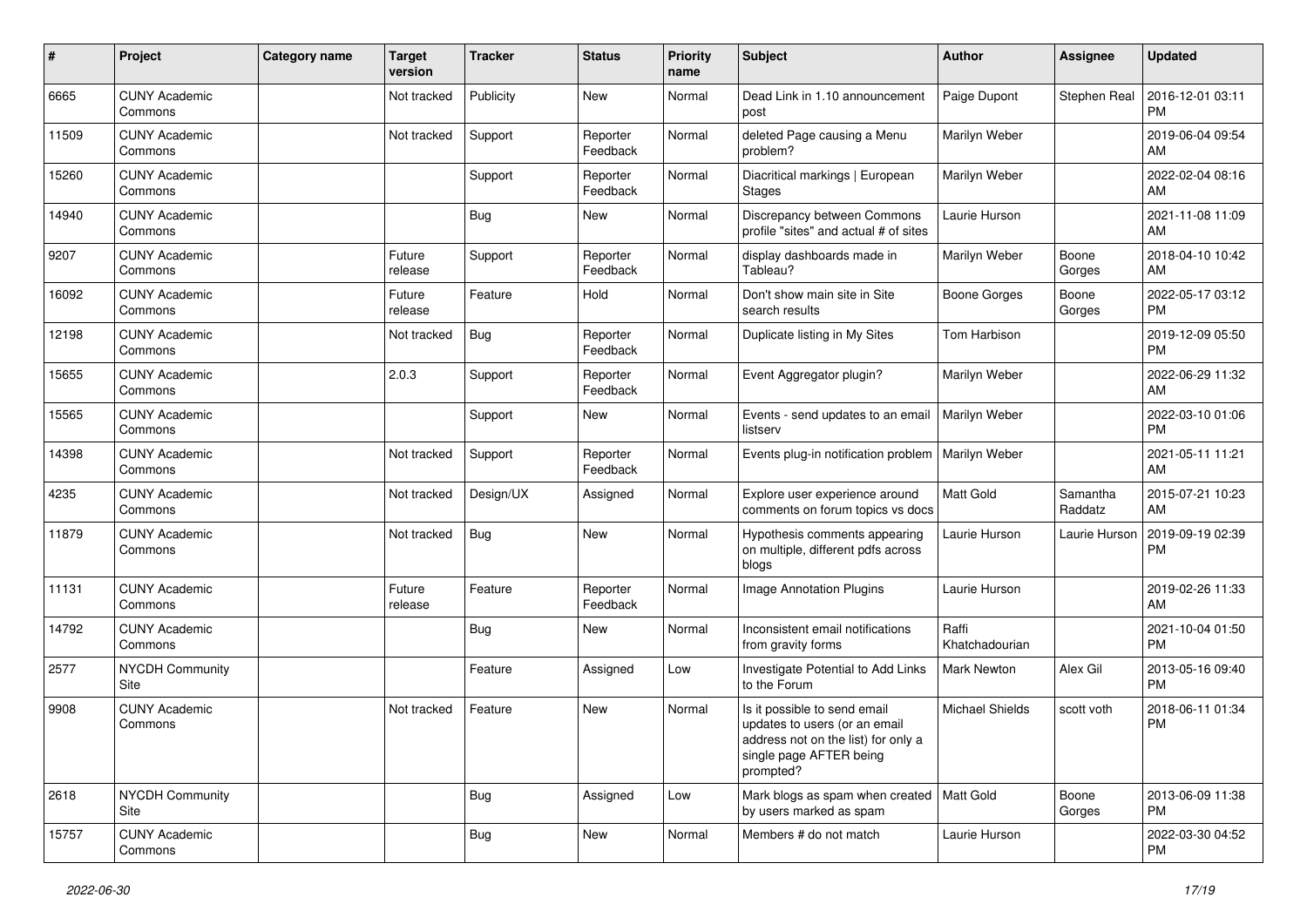| #     | Project                         | Category name | <b>Target</b><br>version | Tracker    | <b>Status</b>        | <b>Priority</b><br>name | Subject                                                                                                                                      | Author                  | <b>Assignee</b>     | <b>Updated</b>                |
|-------|---------------------------------|---------------|--------------------------|------------|----------------------|-------------------------|----------------------------------------------------------------------------------------------------------------------------------------------|-------------------------|---------------------|-------------------------------|
| 6665  | <b>CUNY Academic</b><br>Commons |               | Not tracked              | Publicity  | <b>New</b>           | Normal                  | Dead Link in 1.10 announcement<br>post                                                                                                       | Paige Dupont            | Stephen Real        | 2016-12-01 03:11<br><b>PM</b> |
| 11509 | <b>CUNY Academic</b><br>Commons |               | Not tracked              | Support    | Reporter<br>Feedback | Normal                  | deleted Page causing a Menu<br>problem?                                                                                                      | Marilyn Weber           |                     | 2019-06-04 09:54<br>AM        |
| 15260 | <b>CUNY Academic</b><br>Commons |               |                          | Support    | Reporter<br>Feedback | Normal                  | Diacritical markings   European<br><b>Stages</b>                                                                                             | Marilyn Weber           |                     | 2022-02-04 08:16<br>AM        |
| 14940 | <b>CUNY Academic</b><br>Commons |               |                          | Bug        | <b>New</b>           | Normal                  | Discrepancy between Commons<br>profile "sites" and actual # of sites                                                                         | Laurie Hurson           |                     | 2021-11-08 11:09<br>AM        |
| 9207  | <b>CUNY Academic</b><br>Commons |               | Future<br>release        | Support    | Reporter<br>Feedback | Normal                  | display dashboards made in<br>Tableau?                                                                                                       | Marilyn Weber           | Boone<br>Gorges     | 2018-04-10 10:42<br>AM        |
| 16092 | <b>CUNY Academic</b><br>Commons |               | Future<br>release        | Feature    | Hold                 | Normal                  | Don't show main site in Site<br>search results                                                                                               | <b>Boone Gorges</b>     | Boone<br>Gorges     | 2022-05-17 03:12<br><b>PM</b> |
| 12198 | <b>CUNY Academic</b><br>Commons |               | Not tracked              | Bug        | Reporter<br>Feedback | Normal                  | Duplicate listing in My Sites                                                                                                                | Tom Harbison            |                     | 2019-12-09 05:50<br><b>PM</b> |
| 15655 | <b>CUNY Academic</b><br>Commons |               | 2.0.3                    | Support    | Reporter<br>Feedback | Normal                  | Event Aggregator plugin?                                                                                                                     | Marilyn Weber           |                     | 2022-06-29 11:32<br>AM        |
| 15565 | <b>CUNY Academic</b><br>Commons |               |                          | Support    | New                  | Normal                  | Events - send updates to an email<br>listserv                                                                                                | Marilyn Weber           |                     | 2022-03-10 01:06<br><b>PM</b> |
| 14398 | <b>CUNY Academic</b><br>Commons |               | Not tracked              | Support    | Reporter<br>Feedback | Normal                  | Events plug-in notification problem                                                                                                          | Marilyn Weber           |                     | 2021-05-11 11:21<br>AM        |
| 4235  | <b>CUNY Academic</b><br>Commons |               | Not tracked              | Design/UX  | Assigned             | Normal                  | Explore user experience around<br>comments on forum topics vs docs                                                                           | <b>Matt Gold</b>        | Samantha<br>Raddatz | 2015-07-21 10:23<br>AM        |
| 11879 | <b>CUNY Academic</b><br>Commons |               | Not tracked              | Bug        | <b>New</b>           | Normal                  | Hypothesis comments appearing<br>on multiple, different pdfs across<br>blogs                                                                 | Laurie Hurson           | Laurie Hurson       | 2019-09-19 02:39<br><b>PM</b> |
| 11131 | <b>CUNY Academic</b><br>Commons |               | Future<br>release        | Feature    | Reporter<br>Feedback | Normal                  | Image Annotation Plugins                                                                                                                     | Laurie Hurson           |                     | 2019-02-26 11:33<br>AM        |
| 14792 | <b>CUNY Academic</b><br>Commons |               |                          | Bug        | New                  | Normal                  | Inconsistent email notifications<br>from gravity forms                                                                                       | Raffi<br>Khatchadourian |                     | 2021-10-04 01:50<br><b>PM</b> |
| 2577  | <b>NYCDH Community</b><br>Site  |               |                          | Feature    | Assigned             | Low                     | Investigate Potential to Add Links<br>to the Forum                                                                                           | Mark Newton             | Alex Gil            | 2013-05-16 09:40<br><b>PM</b> |
| 9908  | <b>CUNY Academic</b><br>Commons |               | Not tracked              | Feature    | <b>New</b>           | Normal                  | Is it possible to send email<br>updates to users (or an email<br>address not on the list) for only a<br>single page AFTER being<br>prompted? | <b>Michael Shields</b>  | scott voth          | 2018-06-11 01:34<br>PM        |
| 2618  | <b>NYCDH Community</b><br>Site  |               |                          | Bug        | Assigned             | Low                     | Mark blogs as spam when created   Matt Gold<br>by users marked as spam                                                                       |                         | Boone<br>Gorges     | 2013-06-09 11:38<br><b>PM</b> |
| 15757 | <b>CUNY Academic</b><br>Commons |               |                          | <b>Bug</b> | New                  | Normal                  | Members # do not match                                                                                                                       | Laurie Hurson           |                     | 2022-03-30 04:52<br><b>PM</b> |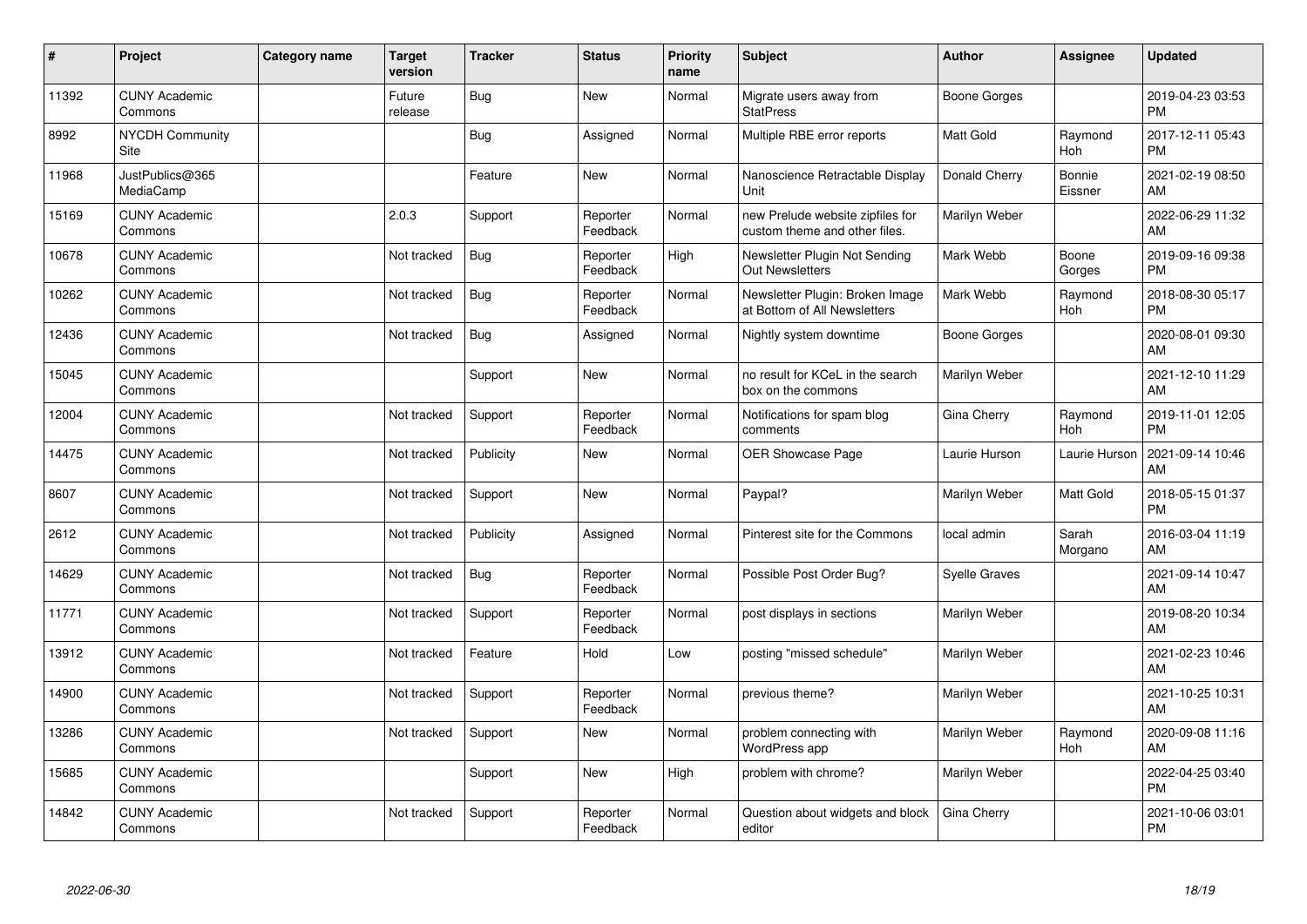| #     | Project                         | <b>Category name</b> | <b>Target</b><br>version | <b>Tracker</b> | <b>Status</b>        | Priority<br>name | <b>Subject</b>                                                    | <b>Author</b>        | <b>Assignee</b>   | <b>Updated</b>                |
|-------|---------------------------------|----------------------|--------------------------|----------------|----------------------|------------------|-------------------------------------------------------------------|----------------------|-------------------|-------------------------------|
| 11392 | <b>CUNY Academic</b><br>Commons |                      | Future<br>release        | Bug            | <b>New</b>           | Normal           | Migrate users away from<br><b>StatPress</b>                       | Boone Gorges         |                   | 2019-04-23 03:53<br><b>PM</b> |
| 8992  | <b>NYCDH Community</b><br>Site  |                      |                          | <b>Bug</b>     | Assigned             | Normal           | Multiple RBE error reports                                        | <b>Matt Gold</b>     | Raymond<br>Hoh    | 2017-12-11 05:43<br><b>PM</b> |
| 11968 | JustPublics@365<br>MediaCamp    |                      |                          | Feature        | <b>New</b>           | Normal           | Nanoscience Retractable Display<br>Unit                           | Donald Cherry        | Bonnie<br>Eissner | 2021-02-19 08:50<br>AM        |
| 15169 | <b>CUNY Academic</b><br>Commons |                      | 2.0.3                    | Support        | Reporter<br>Feedback | Normal           | new Prelude website zipfiles for<br>custom theme and other files. | Marilyn Weber        |                   | 2022-06-29 11:32<br>AM        |
| 10678 | <b>CUNY Academic</b><br>Commons |                      | Not tracked              | <b>Bug</b>     | Reporter<br>Feedback | High             | Newsletter Plugin Not Sending<br><b>Out Newsletters</b>           | Mark Webb            | Boone<br>Gorges   | 2019-09-16 09:38<br><b>PM</b> |
| 10262 | <b>CUNY Academic</b><br>Commons |                      | Not tracked              | Bug            | Reporter<br>Feedback | Normal           | Newsletter Plugin: Broken Image<br>at Bottom of All Newsletters   | Mark Webb            | Raymond<br>Hoh    | 2018-08-30 05:17<br><b>PM</b> |
| 12436 | <b>CUNY Academic</b><br>Commons |                      | Not tracked              | Bug            | Assigned             | Normal           | Nightly system downtime                                           | Boone Gorges         |                   | 2020-08-01 09:30<br>AM        |
| 15045 | <b>CUNY Academic</b><br>Commons |                      |                          | Support        | <b>New</b>           | Normal           | no result for KCeL in the search<br>box on the commons            | Marilyn Weber        |                   | 2021-12-10 11:29<br>AM        |
| 12004 | <b>CUNY Academic</b><br>Commons |                      | Not tracked              | Support        | Reporter<br>Feedback | Normal           | Notifications for spam blog<br>comments                           | Gina Cherry          | Raymond<br>Hoh    | 2019-11-01 12:05<br><b>PM</b> |
| 14475 | <b>CUNY Academic</b><br>Commons |                      | Not tracked              | Publicity      | <b>New</b>           | Normal           | <b>OER Showcase Page</b>                                          | Laurie Hurson        | Laurie Hurson     | 2021-09-14 10:46<br>AM        |
| 8607  | <b>CUNY Academic</b><br>Commons |                      | Not tracked              | Support        | <b>New</b>           | Normal           | Paypal?                                                           | Marilyn Weber        | Matt Gold         | 2018-05-15 01:37<br><b>PM</b> |
| 2612  | <b>CUNY Academic</b><br>Commons |                      | Not tracked              | Publicity      | Assigned             | Normal           | Pinterest site for the Commons                                    | local admin          | Sarah<br>Morgano  | 2016-03-04 11:19<br>AM        |
| 14629 | <b>CUNY Academic</b><br>Commons |                      | Not tracked              | Bug            | Reporter<br>Feedback | Normal           | Possible Post Order Bug?                                          | <b>Syelle Graves</b> |                   | 2021-09-14 10:47<br>AM        |
| 11771 | <b>CUNY Academic</b><br>Commons |                      | Not tracked              | Support        | Reporter<br>Feedback | Normal           | post displays in sections                                         | Marilyn Weber        |                   | 2019-08-20 10:34<br>AM        |
| 13912 | <b>CUNY Academic</b><br>Commons |                      | Not tracked              | Feature        | Hold                 | Low              | posting "missed schedule"                                         | Marilyn Weber        |                   | 2021-02-23 10:46<br>AM        |
| 14900 | <b>CUNY Academic</b><br>Commons |                      | Not tracked              | Support        | Reporter<br>Feedback | Normal           | previous theme?                                                   | Marilyn Weber        |                   | 2021-10-25 10:31<br>AM        |
| 13286 | <b>CUNY Academic</b><br>Commons |                      | Not tracked              | Support        | <b>New</b>           | Normal           | problem connecting with<br>WordPress app                          | Marilyn Weber        | Raymond<br>Hoh    | 2020-09-08 11:16<br>AM        |
| 15685 | <b>CUNY Academic</b><br>Commons |                      |                          | Support        | <b>New</b>           | High             | problem with chrome?                                              | Marilyn Weber        |                   | 2022-04-25 03:40<br><b>PM</b> |
| 14842 | <b>CUNY Academic</b><br>Commons |                      | Not tracked              | Support        | Reporter<br>Feedback | Normal           | Question about widgets and block<br>editor                        | Gina Cherry          |                   | 2021-10-06 03:01<br><b>PM</b> |